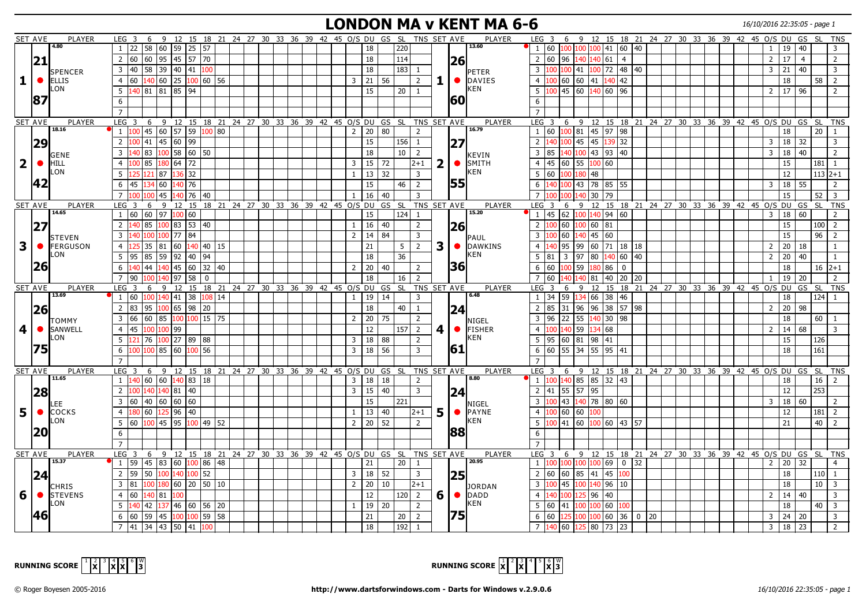## **LONDON MA v KENT MA 6-6** 16/10/2016 22:35:05 - page 1

|                         | SET AVE        | <b>PLAYER</b>       | LEG <sub>3</sub>                                           |                                                                                              |    |                         |              |  | 6 9 12 15 18 21 24 27 30 33 36 39 42 45 O/S DU GS SL TNS SET AVE |  |              |                                   |                 |                  |                |   |                 | <b>PLAYER</b>                  | LEG <sub>3</sub>  |           |                                                                       |           |                    |  |  |  | 6 9 12 15 18 21 24 27 30 33 36 39 42 45 O/S DU GS SL |                |                     |                |               | <b>TNS</b>              |
|-------------------------|----------------|---------------------|------------------------------------------------------------|----------------------------------------------------------------------------------------------|----|-------------------------|--------------|--|------------------------------------------------------------------|--|--------------|-----------------------------------|-----------------|------------------|----------------|---|-----------------|--------------------------------|-------------------|-----------|-----------------------------------------------------------------------|-----------|--------------------|--|--|--|------------------------------------------------------|----------------|---------------------|----------------|---------------|-------------------------|
|                         |                | 4.80                |                                                            | $1 \mid 22 \mid 58 \mid 60 \mid 59 \mid 25 \mid 57$                                          |    |                         |              |  |                                                                  |  |              | 18                                |                 | 220              |                |   |                 | 13.60                          |                   |           | $1 \mid 60 \mid 100 \mid 100 \mid 100 \mid 41 \mid 60 \mid 40$        |           |                    |  |  |  |                                                      | 1              | 19 40               |                |               | $\overline{3}$          |
|                         |                |                     |                                                            | 2   60   60   95   45   57   70                                                              |    |                         |              |  |                                                                  |  |              | 18                                |                 | 114              |                |   |                 |                                |                   |           | 2 60 96 140 140 61                                                    |           | $\vert 4 \vert$    |  |  |  |                                                      | $\overline{2}$ | 17                  | $\overline{4}$ |               | 2                       |
|                         | 21             |                     |                                                            |                                                                                              |    |                         |              |  |                                                                  |  |              |                                   |                 |                  |                |   | 26              |                                |                   |           |                                                                       |           |                    |  |  |  |                                                      |                |                     |                |               |                         |
|                         |                | <b>SPENCER</b>      |                                                            | 3 40 58 39 40 41 100                                                                         |    |                         |              |  |                                                                  |  |              | 18                                |                 | 183              | 1              |   |                 | PETER                          | 3 <sup>1</sup>    | 100       | 100   41   100   72   48   40                                         |           |                    |  |  |  |                                                      | 3              | 21                  | 40             |               | $\overline{3}$          |
| $\mathbf 1$             | $\bullet$      | <b>ELLIS</b>        | 4 60                                                       |                                                                                              |    | $140$ 60 25 $100$ 60 56 |              |  |                                                                  |  |              | 21 <sup>1</sup><br>$\overline{3}$ | 56              |                  | $\overline{2}$ | 1 | $\bullet$       | DAVIES                         | 4 <sup>1</sup>    | 100       | 60  60  41                                                            |           | 140 42             |  |  |  |                                                      |                | 18                  |                | 58            | $\overline{2}$          |
|                         |                | LON                 | 5                                                          | 140 81 81 85 94                                                                              |    |                         |              |  |                                                                  |  |              | 15                                |                 | 20               | $\mathbf{1}$   |   |                 | KEN                            |                   |           | $5 \vert 100 \vert 45 \vert 60 \vert 140 \vert 60 \vert 96$           |           |                    |  |  |  |                                                      | $\overline{2}$ | $17 \,$ 96          |                |               | 2                       |
|                         | 87             |                     | 6                                                          |                                                                                              |    |                         |              |  |                                                                  |  |              |                                   |                 |                  |                |   | l60             |                                | 6                 |           |                                                                       |           |                    |  |  |  |                                                      |                |                     |                |               |                         |
|                         |                |                     | $\overline{7}$                                             |                                                                                              |    |                         |              |  |                                                                  |  |              |                                   |                 |                  |                |   |                 |                                |                   |           |                                                                       |           |                    |  |  |  |                                                      |                |                     |                |               |                         |
|                         | <b>SET AVE</b> | <b>PLAYER</b>       | LEG <sub>3</sub>                                           |                                                                                              |    |                         |              |  | 6 9 12 15 18 21 24 27 30 33 36 39 42 45 O/S DU GS SL             |  |              |                                   |                 |                  | TNS SET AVE    |   |                 | PLAYER                         | LEG <sub>3</sub>  |           |                                                                       |           |                    |  |  |  | 6 9 12 15 18 21 24 27 30 33 36 39 42 45 O/S DU GS    |                |                     |                | -SL           | <b>TNS</b>              |
|                         |                | 18.16               | 1 100                                                      | 45  60  57  59 <mark> 100</mark>  80                                                         |    |                         |              |  |                                                                  |  |              | 20<br>$2^{\circ}$                 | 80              |                  | $\overline{2}$ |   |                 | 16.79                          | 1 60              |           | $100$ 81 45 97 98                                                     |           |                    |  |  |  |                                                      |                | 18                  |                | 20            | $\overline{1}$          |
|                         | 29             |                     | 2 100                                                      | $141$ 45 60 99                                                                               |    |                         |              |  |                                                                  |  |              | 15                                |                 | 156              | $\mathbf{1}$   |   | 127             |                                | $\overline{2}$    | 40<br>100 | $145$ 45                                                              |           | 139 32             |  |  |  |                                                      | 3              | 18                  | 32             |               | 3                       |
|                         |                |                     |                                                            | $3 \mid 140 \mid 83 \mid 100 \mid 58 \mid 60 \mid 50$                                        |    |                         |              |  |                                                                  |  |              | 18                                |                 | 10 <sup>1</sup>  | $\overline{2}$ |   |                 |                                | $3 \mid 85$       |           | 140 100 43 93 40                                                      |           |                    |  |  |  |                                                      | 3              | 18 40               |                |               | 2                       |
|                         |                | GENE<br><b>HILL</b> | $\overline{4}$<br>100                                      | 85                                                                                           |    | 180 64 72               |              |  |                                                                  |  |              | $\mathbf{3}$                      | $15 \mid 72$    |                  | $ 2+1 $        |   | 2  <sub>o</sub> | <b>I</b> KEVIN<br><b>SMITH</b> | 4 <sup>1</sup>    | 45        | 60 55 100 60                                                          |           |                    |  |  |  |                                                      |                | 15                  |                | 181           | $\overline{1}$          |
| $\overline{\mathbf{2}}$ | $\bullet$      | LON                 |                                                            |                                                                                              |    |                         |              |  |                                                                  |  |              |                                   |                 |                  |                |   |                 | KEN                            |                   |           |                                                                       |           |                    |  |  |  |                                                      |                |                     |                |               |                         |
|                         |                |                     | 5<br>125                                                   | 121 87                                                                                       |    | 136 32                  |              |  |                                                                  |  |              | 13<br>$\mathbf{1}$                | 32              |                  | $\overline{3}$ |   | l55l            |                                | 5 60              | 100       | 180 48                                                                |           |                    |  |  |  |                                                      |                | 12                  |                | $113 2+1$     |                         |
|                         | 42             |                     | 45<br>6                                                    | 134                                                                                          | 60 | 140 76                  |              |  |                                                                  |  |              | 15                                |                 | 46               | $\overline{2}$ |   |                 |                                | 6                 | 100       | 43 78                                                                 |           | 85 55              |  |  |  |                                                      | 3              | 18 55               |                |               | $\overline{2}$          |
|                         |                |                     |                                                            | $100$ 45                                                                                     |    | 140 76 40               |              |  |                                                                  |  | $\mathbf{1}$ | 16                                | 40              |                  | $\overline{3}$ |   |                 |                                |                   |           | .40 30                                                                | 79        |                    |  |  |  |                                                      |                | 15                  |                | 52            | $\overline{\mathbf{3}}$ |
|                         | SET AVE        | PLAYER              | $LEG$ 3                                                    |                                                                                              |    |                         |              |  | 6 9 12 15 18 21 24 27 30 33 36 39 42 45 0/S DU GS SL             |  |              |                                   |                 |                  | TNS SET AVE    |   |                 | PLAYER                         | LEG <sub>3</sub>  |           |                                                                       |           |                    |  |  |  | 6 9 12 15 18 21 24 27 30 33 36 39 42 45 0/S DU GS SL |                |                     |                |               | TNS                     |
|                         |                | 14.65               |                                                            | 1   60   60   97   <mark>100</mark>   60                                                     |    |                         |              |  |                                                                  |  |              | 15                                |                 | 124              | $\mathbf{1}$   |   |                 | 15.20                          | 1   45            |           | 62 100 140 94 60                                                      |           |                    |  |  |  |                                                      |                | $3 \mid 18 \mid 60$ |                |               | 2                       |
|                         | 27             |                     |                                                            | 2 $\left  \frac{140}{85} \right  \left  \frac{100}{83} \right  \left  \frac{53}{40} \right $ |    |                         |              |  |                                                                  |  |              | 16<br>$\mathbf{1}$                | 40              |                  | $\overline{2}$ |   | <b>26</b>       |                                | $2\overline{100}$ | 60        | 100 60                                                                | 81        |                    |  |  |  |                                                      |                | 15                  |                | $100$ 2       |                         |
|                         |                | <b>STEVEN</b>       | 3 140                                                      |                                                                                              |    | 100 100 77 84           |              |  |                                                                  |  |              | 14<br>$2^{\circ}$                 | 84              |                  | $\overline{3}$ |   |                 | IPAUL                          | $\overline{3}$    | 60<br>00  |                                                                       | 140 45 60 |                    |  |  |  |                                                      |                | 15                  |                | 96            | $\overline{2}$          |
| $\mathbf{3}$            | $\bullet$      | FERGUSON            | 4 125                                                      | 35  81  60   <mark>140</mark>  40  15                                                        |    |                         |              |  |                                                                  |  |              | 21                                |                 | 5                | $\overline{2}$ | 3 | $\bullet$       | <b>DAWKINS</b>                 | 4 <sup>1</sup>    | 140       | 95  99  60  71  18  18                                                |           |                    |  |  |  |                                                      | 2              | $20 \mid 18$        |                |               | -1                      |
|                         |                | LON                 | 5 95                                                       | 85                                                                                           |    | 59 92 40 94             |              |  |                                                                  |  |              | 18                                |                 | 36               |                |   |                 | KEN                            | 5<br>81           |           | $3 \mid 97$                                                           | 180       | 140   60   40      |  |  |  |                                                      | $\overline{2}$ | 20                  | 40             |               | $\overline{1}$          |
|                         | 26             |                     | 6<br>140                                                   |                                                                                              |    |                         |              |  |                                                                  |  |              | 20<br>$2^{\circ}$                 | 40              |                  | $\overline{2}$ |   | 36              |                                | 60<br>6           | 100       | 59                                                                    | 86<br>180 | $\mathbf 0$        |  |  |  |                                                      |                | 18                  |                | $16 \mid 2+1$ |                         |
|                         |                |                     | $\overline{7}$<br>l 90                                     | 100 l                                                                                        |    | 40 97 58                | $\mathbf{0}$ |  |                                                                  |  |              | 18                                |                 | 16               | $\overline{2}$ |   |                 |                                | $\overline{7}$    | 60<br>40  | .40   81                                                              |           | 40 20 20           |  |  |  |                                                      |                | 19                  | 20             |               | $\overline{2}$          |
|                         | <b>SET AVE</b> | <b>PLAYER</b>       | $LEG \, 3 \, 6$                                            |                                                                                              |    |                         |              |  | 9 12 15 18 21 24 27 30 33 36 39 42 45 O/S DU GS SL TNS SET AVE   |  |              |                                   |                 |                  |                |   |                 | <b>PLAYER</b>                  | LEG <sub>3</sub>  | 6         |                                                                       |           |                    |  |  |  | 9 12 15 18 21 24 27 30 33 36 39 42 45 0/S DU GS      |                |                     |                | -SL           | <b>TNS</b>              |
|                         |                | 13.69               | 1 60                                                       | 100 140 41 38 108 14                                                                         |    |                         |              |  |                                                                  |  |              | 19<br>1                           | 14              |                  | 3              |   |                 | 6.48                           |                   |           | $1 \mid 34 \mid 59 \mid 134 \mid 66$                                  |           | 38 46              |  |  |  |                                                      |                | 18                  |                | 124 1         |                         |
|                         |                |                     | 2 83                                                       | 95                                                                                           |    | $100$ 65 98 20          |              |  |                                                                  |  |              | 18                                |                 | 40               | $\mathbf{1}$   |   |                 |                                | 2                 | 85        | 31  96  96                                                            |           | 38 57 98           |  |  |  |                                                      | $2^{\circ}$    | 20 98               |                |               |                         |
|                         | <b>26</b>      |                     |                                                            |                                                                                              |    |                         |              |  |                                                                  |  |              |                                   |                 |                  |                |   | 24              |                                |                   |           |                                                                       |           |                    |  |  |  |                                                      |                |                     |                |               |                         |
|                         |                | TOMMY               | $\overline{\mathbf{3}}$<br>66                              | 60   85   <mark>100   100</mark>   15   75                                                   |    |                         |              |  |                                                                  |  |              | 20<br>$\overline{2}$              | 75              |                  | $\overline{2}$ |   |                 | NIGEL                          | $\overline{3}$    | 96        | 22 55 140                                                             |           | 30 98              |  |  |  |                                                      |                | 18                  |                | 60            |                         |
| $\overline{\mathbf{4}}$ | $\bullet$      | SANWELL             | 4   45                                                     | 100 100 99                                                                                   |    |                         |              |  |                                                                  |  |              | 12                                |                 | 157              | $\overline{2}$ | 4 | $\bullet$       | FISHER                         | $\overline{4}$    |           | 140 59 134                                                            | 68        |                    |  |  |  |                                                      | $\overline{2}$ | $14 \mid 68$        |                |               | $\overline{3}$          |
|                         |                | LON                 |                                                            | $5 \vert 121 \vert 76 \vert 100 \vert 27 \vert 89 \vert 88$                                  |    |                         |              |  |                                                                  |  |              | 18 I<br>3 <sup>7</sup>            | 88              |                  | $\overline{2}$ |   |                 | <b>I</b> KEN                   | 5 95              |           | 60  81  98  41                                                        |           |                    |  |  |  |                                                      |                | 15                  |                | 126           |                         |
|                         | 75             |                     | 6                                                          | 100 100 85 60 100 56                                                                         |    |                         |              |  |                                                                  |  |              | $\overline{3}$<br>18              | 56              |                  | $\overline{3}$ |   | 61              |                                | 6                 | 60        | 55 34 55 95 41                                                        |           |                    |  |  |  |                                                      |                | 18                  |                | 161           |                         |
|                         |                |                     | $\overline{7}$                                             |                                                                                              |    |                         |              |  |                                                                  |  |              |                                   |                 |                  |                |   |                 |                                | $\overline{7}$    |           |                                                                       |           |                    |  |  |  |                                                      |                |                     |                |               |                         |
|                         | <b>SET AVE</b> | PLAYER              | LEG <sub>3</sub>                                           |                                                                                              |    |                         |              |  | 6 9 12 15 18 21 24 27 30 33 36 39 42 45 O/S DU GS SL             |  |              |                                   |                 |                  | TNS SET AVE    |   |                 | PLAYER                         | LEG <sub>3</sub>  |           |                                                                       |           |                    |  |  |  | 6 9 12 15 18 21 24 27 30 33 36 39 42 45 O/S DU GS SL |                |                     |                |               | <b>TNS</b>              |
|                         |                | 11.65               |                                                            | $1 \vert 140 \vert 60 \vert 60 \vert 140 \vert 83 \vert 18$                                  |    |                         |              |  |                                                                  |  |              | 3 <sup>1</sup><br>18              | 18              |                  | 2              |   |                 | 8.80                           |                   |           | 1   100   140   85   85   32   43                                     |           |                    |  |  |  |                                                      |                | 18                  |                | 16   2        |                         |
|                         | 28             |                     | 2 <sup>1</sup><br>1100                                     |                                                                                              |    | 140 140 81 140          |              |  |                                                                  |  |              | 15<br>$\overline{3}$              | 40              |                  | $\overline{3}$ |   | 24              |                                | 2 41              |           | 55   57   95                                                          |           |                    |  |  |  |                                                      |                | 12                  |                | 253           |                         |
|                         |                | LEE                 |                                                            | 3 60 40 60 60 60                                                                             |    |                         |              |  |                                                                  |  |              | 15                                |                 | 221              |                |   |                 | <b>NIGEL</b>                   | $\overline{3}$    | 43<br>100 |                                                                       |           | 140   78   80   60 |  |  |  |                                                      | 3              | 18 60               |                |               | $\overline{2}$          |
| 5                       | $\bullet$      | <b>COCKS</b>        | $\overline{4}$                                             | 60 125 96 40                                                                                 |    |                         |              |  |                                                                  |  |              | 13<br>$\mathbf{1}$                | 40              |                  | $2+1$          | 5 | $\bullet$       | PAYNE                          | $\overline{4}$    |           | 60  60   <mark>100</mark>                                             |           |                    |  |  |  |                                                      |                | 12                  |                | 181           | $\overline{2}$          |
|                         |                | LON                 | 160<br>5                                                   |                                                                                              |    | 100 45 95 100 49 52     |              |  |                                                                  |  |              | $2^{\circ}$<br>20                 | 52              |                  | $\overline{2}$ |   |                 | KEN                            | 5 <sup>5</sup>    | 100       | 41  60   <mark>100</mark>  60  43  57                                 |           |                    |  |  |  |                                                      |                | 21                  |                | 40            | $\overline{2}$          |
|                         | 20             |                     | 6                                                          |                                                                                              |    |                         |              |  |                                                                  |  |              |                                   |                 |                  |                |   | 88              |                                | 6                 |           |                                                                       |           |                    |  |  |  |                                                      |                |                     |                |               |                         |
|                         |                |                     |                                                            |                                                                                              |    |                         |              |  |                                                                  |  |              |                                   |                 |                  |                |   |                 |                                |                   |           |                                                                       |           |                    |  |  |  |                                                      |                |                     |                |               |                         |
|                         |                |                     | $\overline{7}$                                             |                                                                                              |    |                         |              |  |                                                                  |  |              |                                   |                 |                  |                |   |                 |                                | $\overline{7}$    |           |                                                                       |           |                    |  |  |  |                                                      |                |                     |                |               |                         |
|                         | <b>SET AVE</b> | PLAYER<br>15.37     | LEG 3 6 9 12 15 18 21 24 27 30 33 36 39 42 45 O/S DU GS SL |                                                                                              |    |                         |              |  |                                                                  |  |              |                                   |                 |                  | TNS SET AVE    |   |                 | PLAYER<br>20.95                | LEG <sub>3</sub>  |           |                                                                       |           |                    |  |  |  | 6 9 12 15 18 21 24 27 30 33 36 39 42 45 O/S DU GS    |                |                     |                | -SL           | <b>TNS</b>              |
|                         |                |                     |                                                            | $1 \mid 59 \mid 45 \mid 83 \mid 60 \mid 100 \mid 86 \mid 48$                                 |    |                         |              |  |                                                                  |  |              | 21                                |                 | 20 <sup>1</sup>  | 1              |   |                 |                                |                   |           | $1 \vert 100 \vert 100 \vert 100 \vert 100 \vert 69 \vert 0 \vert 32$ |           |                    |  |  |  |                                                      |                | $2 \mid 20 \mid 32$ |                |               | $\overline{4}$          |
|                         | 24             |                     |                                                            | 2   59   50   100   140   100   52                                                           |    |                         |              |  |                                                                  |  |              | 18<br>3 <sup>1</sup>              | 52              |                  | 3              |   | 25              |                                | 2 60              |           | 60  85  41  45  100                                                   |           |                    |  |  |  |                                                      |                | 18                  |                | 110 l1        |                         |
|                         |                | <b>CHRIS</b>        | 3   81                                                     |                                                                                              |    | 100 180 60 20 50 10     |              |  |                                                                  |  |              | 20<br>$2^{\circ}$                 | 10 <sup>°</sup> |                  | $2 + 1$        |   |                 | <b>JORDAN</b>                  | $\overline{3}$    | 45        | 100 140                                                               |           | 96 10              |  |  |  |                                                      |                | 18                  |                | 10            | $\overline{3}$          |
| 6                       | $\bullet$      | <b>STEVENS</b>      | 160<br>$\overline{4}$                                      | 140   81                                                                                     |    | 100                     |              |  |                                                                  |  |              | 12                                |                 | 120              | $\overline{2}$ | 6 | $\bullet$       | DADD                           | $\overline{4}$    | 100       | .25 96                                                                | 40        |                    |  |  |  |                                                      | $\overline{2}$ | 14                  | 40             |               | $\overline{\mathbf{3}}$ |
|                         |                | LON                 | 5                                                          |                                                                                              |    | 42 137 46 60 56 20      |              |  |                                                                  |  |              | 19 <sup>1</sup><br>$\mathbf{1}$   | 20              |                  | $\overline{2}$ |   |                 | <b>I</b> KEN                   |                   | 41<br>60  | 100 100                                                               |           | 60 <br>100         |  |  |  |                                                      |                | 18                  |                | 40            | $\overline{\mathbf{3}}$ |
|                         | 46             |                     | 60<br>6                                                    | 59 45 100 100 59 58                                                                          |    |                         |              |  |                                                                  |  |              | 21                                |                 | 20               | $\overline{2}$ |   | 75              |                                | 6                 | 125<br>60 | 100 100                                                               |           |                    |  |  |  |                                                      | 3              | $24 \overline{20}$  |                |               | $\overline{3}$          |
|                         |                |                     |                                                            | 7 41 34 43 50 41 100                                                                         |    |                         |              |  |                                                                  |  |              | 18                                |                 | $\overline{192}$ | $\mathbf{1}$   |   |                 |                                |                   | 7 140 60  | 125 80                                                                |           | 73 23              |  |  |  |                                                      | 3 <sup>1</sup> | 18 23               |                |               | 2                       |
|                         |                |                     |                                                            |                                                                                              |    |                         |              |  |                                                                  |  |              |                                   |                 |                  |                |   |                 |                                |                   |           |                                                                       |           |                    |  |  |  |                                                      |                |                     |                |               |                         |



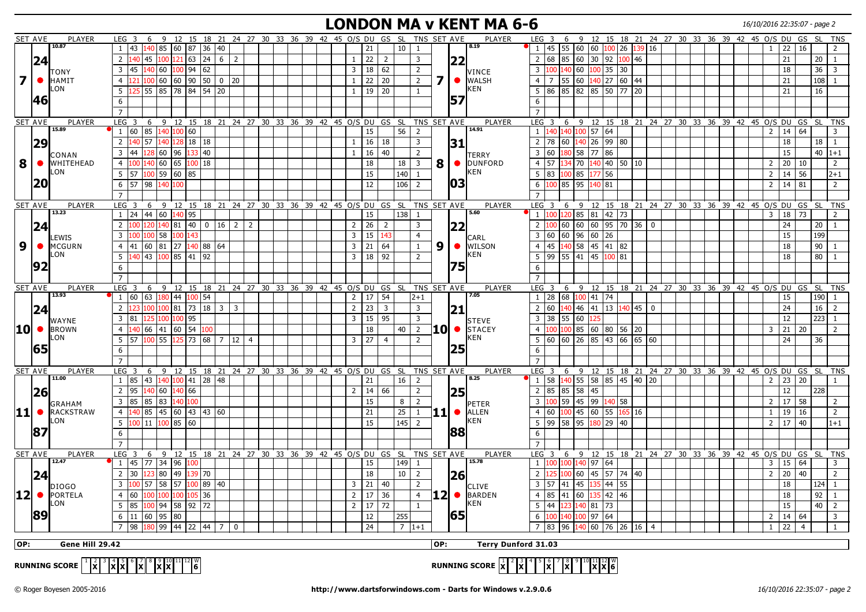### **LONDON MA v KENT MA 6-6** 16/10/2016 22:35:07 - page 2

| SET AVE          |           | <b>PLAYER</b>          | 6<br>LEG <sub>3</sub>                                       |          | 9 12 15 18 21 24 27 30 33 36 39 42 45 0/S DU GS SL             |        |                                            |             |                |  |  |                |                 |                         |                | TNS SET AVE                   |                |           | <b>PLAYER</b>              | LEG <sub>3</sub> | 6                                            |              |                                |                 |                |  |  | 9 12 15 18 21 24 27 30 33 36 39 42 45 0/S DU GS   |                |                     |                | - SL            | <b>TNS</b>                   |
|------------------|-----------|------------------------|-------------------------------------------------------------|----------|----------------------------------------------------------------|--------|--------------------------------------------|-------------|----------------|--|--|----------------|-----------------|-------------------------|----------------|-------------------------------|----------------|-----------|----------------------------|------------------|----------------------------------------------|--------------|--------------------------------|-----------------|----------------|--|--|---------------------------------------------------|----------------|---------------------|----------------|-----------------|------------------------------|
|                  |           | 10.87                  | 43<br>$\mathbf{1}$                                          |          | 140 85 60 87                                                   |        | 36 40                                      |             |                |  |  |                | 21              |                         | 10             | -1                            |                |           | 8.19                       |                  | $1 \mid 45 \mid 55 \mid 60 \mid 60$          |              |                                | $100$ 26 139 16 |                |  |  |                                                   |                | 22                  | 16             |                 | 2                            |
|                  | 24        |                        | $\overline{2}$<br>45<br>140                                 |          | $100\vert 121\vert 63\vert 24\vert 6\vert 2$                   |        |                                            |             |                |  |  | $\mathbf{1}$   | 22              | $\overline{2}$          |                | $\overline{3}$                |                | 22        |                            | 2 68             |                                              |              | $85 \ 60 \ 30 \ 92 \ 100 \ 46$ |                 |                |  |  |                                                   |                | 21                  |                | 20              | <sup>1</sup>                 |
|                  |           | <b>TONY</b>            | 3<br>45                                                     | 140 60   | 100 94                                                         |        | 62                                         |             |                |  |  | $\overline{3}$ | 18              | 62                      |                | $\overline{2}$                |                |           | <b>VINCE</b>               | $\overline{3}$   |                                              |              | $140$ 60 100 35 30             |                 |                |  |  |                                                   |                | 18                  |                | $\overline{36}$ | $\overline{3}$               |
| <b>7</b> I       | $\bullet$ | <b>HAMIT</b>           | 4                                                           |          | 100 60 60 90 50 0 20                                           |        |                                            |             |                |  |  | $\mathbf{1}$   | $\overline{22}$ | 20                      |                | $2^{\circ}$                   | $\overline{7}$ |           | $\bullet$ WALSH            | $\overline{4}$   | 55                                           |              | 60   140   27   60   44        |                 |                |  |  |                                                   |                | 21                  |                | $108$   1       |                              |
|                  |           | LON                    | 5                                                           |          | 55  85  78  84  54  20                                         |        |                                            |             |                |  |  | $\mathbf{1}$   | $19 \mid 20$    |                         |                | $\mathbf{1}$                  |                |           | KEN                        |                  | 5 86 85 82 85 50 77 20                       |              |                                |                 |                |  |  |                                                   |                | 21                  |                | 16              |                              |
|                  | 146       |                        |                                                             |          |                                                                |        |                                            |             |                |  |  |                |                 |                         |                |                               |                | 57        |                            | 6                |                                              |              |                                |                 |                |  |  |                                                   |                |                     |                |                 |                              |
|                  |           |                        | 6                                                           |          |                                                                |        |                                            |             |                |  |  |                |                 |                         |                |                               |                |           |                            |                  |                                              |              |                                |                 |                |  |  |                                                   |                |                     |                |                 |                              |
|                  |           |                        |                                                             |          |                                                                |        |                                            |             |                |  |  |                |                 |                         |                |                               |                |           | <b>PLAYER</b>              | LEG <sub>3</sub> |                                              | - 9          |                                |                 |                |  |  |                                                   |                |                     |                | SL SL           |                              |
| SET AVE          |           | PLAYER<br>15.89        | LEG <sup>3</sup><br>  1  60  85   <mark>140  100</mark>  60 |          | 6 9 12 15 18 21 24 27 30 33 36 39 42 45 0/S DU GS SL           |        |                                            |             |                |  |  |                | 15              |                         | 56             | TNS SET AVE<br>$\overline{2}$ |                |           | 14.91                      |                  | 6<br>1 140 140 100 57 64                     |              |                                |                 |                |  |  | 12 15 18 21 24 27 30 33 36 39 42 45 0/S DU GS     |                | $2 \mid 14 \mid 64$ |                |                 | <b>TNS</b><br>$\overline{3}$ |
|                  |           |                        | 57<br>$\overline{2}$                                        |          |                                                                |        | 18                                         |             |                |  |  |                |                 |                         |                | $\overline{3}$                |                |           |                            | $2 \mid 78$      | 60                                           | 140 26       |                                | 99 80           |                |  |  |                                                   |                | 18                  |                |                 |                              |
|                  | 29        |                        | 128                                                         |          | $-40$ 128 18                                                   |        |                                            |             |                |  |  | $\mathbf{1}$   | 16              | 18                      |                |                               |                | 31        |                            | 3 60             |                                              |              |                                |                 |                |  |  |                                                   |                |                     |                | $18$   1        |                              |
|                  |           | CONAN                  | $\overline{3}$<br>44                                        |          | 60 96 133                                                      |        | 40                                         |             |                |  |  | $\mathbf{1}$   | 16              | 40                      |                | $\overline{2}$                |                |           | TERRY                      |                  |                                              |              | 180 58 77 86                   |                 |                |  |  |                                                   |                | 15                  |                | $40 1+1$        |                              |
| 8                |           | WHITEHEAD<br>LON       | $\overline{4}$<br>140                                       |          | 60 65 100                                                      |        | 18                                         |             |                |  |  |                | 18              |                         | 18             | $\overline{3}$                | 8              |           | O DUNFORD<br>KEN           | 4 57             |                                              | .34 70       | ا 140                          | 40 50 10        |                |  |  |                                                   | $\overline{2}$ | $20 \mid 10$        |                |                 | 2                            |
|                  |           |                        | 5<br>57<br>100                                              |          | 59 60 85                                                       |        |                                            |             |                |  |  |                | 15              |                         | 140            | 1                             |                |           |                            | $5 \mid 83$      |                                              | LOO   85     | 177                            | 56              |                |  |  |                                                   | $\overline{2}$ | $14$ 56             |                |                 | $2 + 1$                      |
|                  | 20        |                        | $6 \mid 57$                                                 |          | 98 140 100                                                     |        |                                            |             |                |  |  |                | 12              |                         | 106            | $\overline{2}$                |                | 03        |                            |                  | $6 \vert 100 \vert 85 \vert 95$              |              | 40<br>81                       |                 |                |  |  |                                                   | $\overline{2}$ | 14 81               |                |                 | 2                            |
|                  |           |                        |                                                             |          |                                                                |        |                                            |             |                |  |  |                |                 |                         |                |                               |                |           |                            |                  |                                              |              |                                |                 |                |  |  |                                                   |                |                     |                |                 |                              |
| SET AVE          |           | PLAYER<br>13.23        | $LEG$ 3<br>6                                                | - 9      | 12 15                                                          |        | 18 21 24 27 30 33 36 39 42 45 0/S DU GS SL |             |                |  |  |                |                 |                         |                | TNS SET AVE                   |                |           | PLAYER<br>5.60             | $LEG$ 3          | 6                                            | - 9          |                                |                 |                |  |  | 12 15 18 21 24 27 30 33 36 39 42 45 0/S DU GS     |                |                     |                | - SL            | <b>TNS</b>                   |
|                  |           |                        | 24 44 60 140 95<br>1                                        |          |                                                                |        |                                            |             |                |  |  |                | 15              |                         | 138            | 1                             |                |           |                            |                  | 1 100 120 85 81 42 73                        |              |                                |                 |                |  |  |                                                   |                | 3   18   73         |                |                 | 2                            |
|                  | 24        |                        | $\overline{2}$                                              |          | 40 81 40                                                       |        | 0   16   2                                 |             | $\overline{2}$ |  |  | $2^{\circ}$    | 26              | 2                       |                | $\overline{3}$                |                | 22        |                            | $\overline{2}$   | 60                                           | 60 60        |                                | 95 70 36        | 0              |  |  |                                                   |                | 24                  |                | 20              |                              |
|                  |           | LEWIS                  | $\overline{3}$                                              | 100 58   | 1100 l                                                         | 143    |                                            |             |                |  |  | $\overline{3}$ | 15              | 143                     |                | $\overline{4}$                |                |           | CARL                       | 3 60             |                                              |              | 60 96 60 26                    |                 |                |  |  |                                                   |                | 15                  |                | 199             |                              |
| 9                |           | <b>O</b> MCGURN        | $\overline{4}$<br>41                                        |          | 60  81  27   <mark>140</mark>  88  64                          |        |                                            |             |                |  |  | $\overline{3}$ | 21              | 64                      |                | $\mathbf{1}$                  | 9              |           | • WILSON                   | $\overline{4}$   | 45                                           |              | 140 58 45 41 82                |                 |                |  |  |                                                   |                | 18                  |                | $90 \mid 1$     |                              |
|                  |           | LON                    | 5<br>140                                                    |          | 43 100 85 41                                                   |        | 92                                         |             |                |  |  | $\overline{3}$ | 18              | 92                      |                | $\overline{2}$                |                |           | KEN                        | $5 \mid 99$      |                                              | 55   41   45 |                                | 100 81          |                |  |  |                                                   |                | 18                  |                | $80 \mid 1$     |                              |
|                  | 92        |                        | 6                                                           |          |                                                                |        |                                            |             |                |  |  |                |                 |                         |                |                               |                | 75        |                            | 6                |                                              |              |                                |                 |                |  |  |                                                   |                |                     |                |                 |                              |
|                  |           |                        | $\overline{7}$                                              |          |                                                                |        |                                            |             |                |  |  |                |                 |                         |                |                               |                |           |                            | $\overline{7}$   |                                              |              |                                |                 |                |  |  |                                                   |                |                     |                |                 |                              |
| SET AVE          |           | <b>PLAYER</b><br>13.93 | LEG <sub>3</sub><br>6                                       |          | 9 12 15 18 21 24 27 30 33 36 39 42 45 0/S DU                   |        |                                            |             |                |  |  |                |                 | GS SL                   |                | TNS SET AVE                   |                |           | <b>PLAYER</b><br>7.05      | LEG <sub>3</sub> | 6                                            |              |                                |                 |                |  |  | 9 12 15 18 21 24 27 30 33 36 39 42 45 0/S DU      |                |                     | GS             | <b>SL</b>       | <b>TNS</b>                   |
|                  |           |                        | 1 60                                                        |          | 63 180 44                                                      | 100 54 |                                            |             |                |  |  | $\overline{2}$ | 17              | 54                      |                | $2 + 1$                       |                |           |                            |                  | $1 \mid 28 \mid 68 \mid 100 \mid 41 \mid 74$ |              |                                |                 |                |  |  |                                                   |                | 15                  |                | 190             | $\mathbf{1}$                 |
|                  | 24        |                        | $\overline{2}$<br>00                                        |          | $.00 \,   \, 81 \,   \, 73$                                    |        | $18 \mid 3 \mid 3$                         |             |                |  |  | $\overline{2}$ | 23              | $\overline{\mathbf{3}}$ |                | $\overline{3}$                |                | 21        |                            | 2 60             |                                              |              | 140 46 41 13 140 45            |                 | 0              |  |  |                                                   |                | 24                  |                | 16              | $\overline{2}$               |
|                  |           | WAYNE                  | 3<br>81<br>125                                              |          | 100 100 95                                                     |        |                                            |             |                |  |  | $\overline{3}$ | 15   95         |                         |                | $\overline{3}$                |                |           | STEVE                      | $3 \mid 38$      |                                              | 55 60 125    |                                |                 |                |  |  |                                                   |                | 12                  |                | $223$ 1         |                              |
|                  |           | 10 • BROWN             | $\overline{4}$                                              |          | 66  41  60  54                                                 |        |                                            |             |                |  |  |                | 18              |                         | 40             | $\overline{2}$                |                |           | 10 • STACEY                | 4 <sup>1</sup>   |                                              |              | 1008560805620                  |                 |                |  |  |                                                   | $\overline{3}$ | $21 \mid 20$        |                |                 | $\overline{2}$               |
|                  |           | LON                    | 5<br>57                                                     | $100$ 55 |                                                                |        | $125$ 73 68 7 12                           |             | $\overline{4}$ |  |  | $\overline{3}$ | 27              | $\overline{4}$          |                | $\overline{2}$                |                |           | KEN                        | 5 60             | 60                                           | 26   85      |                                | 43 66 65 60     |                |  |  |                                                   |                | 24                  |                | 36              |                              |
|                  | 65        |                        | 6                                                           |          |                                                                |        |                                            |             |                |  |  |                |                 |                         |                |                               |                | 25        |                            | 6                |                                              |              |                                |                 |                |  |  |                                                   |                |                     |                |                 |                              |
|                  |           |                        | $\overline{7}$                                              |          |                                                                |        |                                            |             |                |  |  |                |                 |                         |                |                               |                |           |                            |                  |                                              |              |                                |                 |                |  |  |                                                   |                |                     |                |                 |                              |
| SET AVE          |           | <b>PLAYER</b><br>11.00 | LEG <sup>3</sup>                                            |          | 6 9 12 15 18 21 24 27 30 33 36 39 42 45 0/S DU GS SL           |        |                                            |             |                |  |  |                |                 |                         |                | TNS SET AVE                   |                |           | <b>PLAYER</b><br>8.25      | LEG <sub>3</sub> |                                              |              |                                |                 |                |  |  | 6 9 12 15 18 21 24 27 30 33 36 39 42 45 0/S DU GS |                |                     |                | - SL            | <b>TNS</b>                   |
|                  |           |                        | 1   85                                                      |          | 43   140   100   41   28   48                                  |        |                                            |             |                |  |  |                | 21              |                         | 16             | $\overline{2}$                |                |           |                            | $1 \vert 58$     |                                              |              | 140 55 58 85 45 40 20          |                 |                |  |  |                                                   | $\overline{2}$ | 23 20               |                |                 | -1                           |
|                  | 26        |                        | $\overline{2}$<br>95<br>140                                 | 60       | 140 66                                                         |        |                                            |             |                |  |  | $2^{\circ}$    | 14              | 66                      |                | $\overline{2}$                |                | 25        |                            | $\overline{2}$   | 85<br>85                                     | 58           | 45                             |                 |                |  |  |                                                   |                | 12                  |                | 228             |                              |
|                  |           | <b>GRAHAM</b>          | $\overline{3}$<br>185                                       |          | 85 83 140 100                                                  |        |                                            |             |                |  |  |                | 15              |                         | 8              | $\overline{2}$                |                |           | IPETER                     | $\overline{3}$   | $100$ 59 45 99 $140$ 58                      |              |                                |                 |                |  |  |                                                   | $\overline{2}$ | $17$ 58             |                |                 | $\overline{2}$               |
| $ 11 $ $\bullet$ |           | <b>RACKSTRAW</b>       | $\overline{4}$                                              |          | 85 45 60 43 43 60                                              |        |                                            |             |                |  |  |                | 21              |                         | 25             | $\mathbf{1}$                  |                |           | $11$ $\bullet$ ALLEN       | 4 60             |                                              |              | $100$ 45 60 55 $165$ 16        |                 |                |  |  |                                                   | $\mathbf{1}$   | 19 16               |                |                 | $\overline{2}$               |
|                  |           | LON                    | 5<br>100 11 100 85 60                                       |          |                                                                |        |                                            |             |                |  |  |                | 15              |                         | 145            | $\overline{2}$                |                |           | KEN                        |                  | 5 99 58 95                                   |              | 180                            | 29 40           |                |  |  |                                                   |                | 2   17   40         |                |                 | $1+1$                        |
|                  | 87        |                        | 6                                                           |          |                                                                |        |                                            |             |                |  |  |                |                 |                         |                |                               |                | 88        |                            | 6                |                                              |              |                                |                 |                |  |  |                                                   |                |                     |                |                 |                              |
|                  |           |                        | $\overline{7}$                                              |          |                                                                |        |                                            |             |                |  |  |                |                 |                         |                |                               |                |           |                            | $\overline{7}$   |                                              |              |                                |                 |                |  |  |                                                   |                |                     |                |                 |                              |
| SET AVE          |           | PLAYER                 | LEG <sub>3</sub><br>6                                       |          | 9 12 15 18 21 24 27 30 33 36 39 42 45 O/S DU GS SL TNS SET AVE |        |                                            |             |                |  |  |                |                 |                         |                |                               |                |           | PLAYER                     | LEG <sub>3</sub> |                                              |              |                                |                 |                |  |  | 6 9 12 15 18 21 24 27 30 33 36 39 42 45 0/S DU GS |                |                     |                | - SL            | <b>TNS</b>                   |
|                  |           | 12.47                  | 45 77 34 96 100<br>$\mathbf{1}$                             |          |                                                                |        |                                            |             |                |  |  |                | 15              |                         | 149            | 1                             |                |           | 15.78                      | 1 100            |                                              |              | 100 140 97 64                  |                 |                |  |  |                                                   | 3              | $15 \mid 64$        |                |                 | 3                            |
|                  | 24        |                        | $\overline{2}$<br>30                                        | 123 80   | 49 139 70                                                      |        |                                            |             |                |  |  |                | 18              |                         | 10             | $\overline{2}$                |                | <b>26</b> |                            | $\overline{2}$   |                                              | 100 60       | 45  57  74  40                 |                 |                |  |  |                                                   | $\overline{2}$ | 20                  | 40             |                 | $\overline{2}$               |
|                  |           | <b>DIOGO</b>           | 3<br>57                                                     |          | 58 57                                                          |        | 100 89 40                                  |             |                |  |  | $\overline{3}$ | 21              | 40                      |                | 2                             |                |           | CLIVE                      | 3                | 57<br>41                                     | 145          |                                | 35   44   55    |                |  |  |                                                   |                | 18                  |                | $124$   1       |                              |
| $ 12  \bullet$   |           | <b>PORTELA</b>         | $\overline{4}$<br>60                                        |          | 100   100   100   105                                          |        | 36                                         |             |                |  |  | $\overline{2}$ | 17              | 36                      |                | $\overline{4}$                |                |           | $12$ $\bullet$ BARDEN      | $4$ 85           |                                              | 41 60        |                                | 135 42 46       |                |  |  |                                                   |                | 18                  |                | 92              | $\overline{1}$               |
|                  |           | LON                    | 5<br>85                                                     |          | 100 94 58 92                                                   |        | 72                                         |             |                |  |  | $2^{\circ}$    | 17              | 72                      |                | $\mathbf{1}$                  |                |           | KEN                        | $5 \mid 44$      | .23                                          | 140 81       |                                | 73              |                |  |  |                                                   |                | 15                  |                | $40 \mid 2$     |                              |
|                  | 89        |                        | 6<br>11                                                     |          | 60 95 80                                                       |        |                                            |             |                |  |  |                | 12              |                         | 255            |                               |                | 65        |                            | 6                |                                              | 140 100 97   | 64                             |                 |                |  |  |                                                   | $\overline{2}$ | $14 \mid 64$        |                |                 | $\overline{\mathbf{3}}$      |
|                  |           |                        | $\overline{7}$<br>98                                        |          | 180 99  44  22  44                                             |        | $\overline{7}$                             | $\mathbf 0$ |                |  |  |                | 24              |                         | $\overline{7}$ | $1+1$                         |                |           |                            | $7^{\circ}$      | 83<br>96                                     | 140 60       |                                | $76$ 26 16      | $\overline{4}$ |  |  |                                                   |                | $\overline{22}$     | $\overline{4}$ |                 |                              |
|                  |           |                        |                                                             |          |                                                                |        |                                            |             |                |  |  |                |                 |                         |                |                               |                |           |                            |                  |                                              |              |                                |                 |                |  |  |                                                   |                |                     |                |                 |                              |
| OP:              |           | Gene Hill 29.42        |                                                             |          |                                                                |        |                                            |             |                |  |  |                |                 |                         |                |                               | OP:            |           | <b>Terry Dunford 31.03</b> |                  |                                              |              |                                |                 |                |  |  |                                                   |                |                     |                |                 |                              |

 $R$ UNNING SCORE  $\begin{bmatrix} 1 & 2 \\ 1 & \mathbf{X} \end{bmatrix}^3 \begin{bmatrix} 4 & 5 \\ 2 & \mathbf{X} \end{bmatrix}^6 \begin{bmatrix} 7 & 8 & 10 \\ 8 & \mathbf{X} & \mathbf{X} \end{bmatrix}^{11} \begin{bmatrix} 12 & 0 & 0 \\ 1 & 6 & \mathbf{X} \end{bmatrix}^3$ **RUNNING SCORE**  $\begin{bmatrix} 1 & 2 & 3 & 4 \ 1 & 2 & 8 & 7 \ 6 & 0 & 7 & 8 \end{bmatrix}$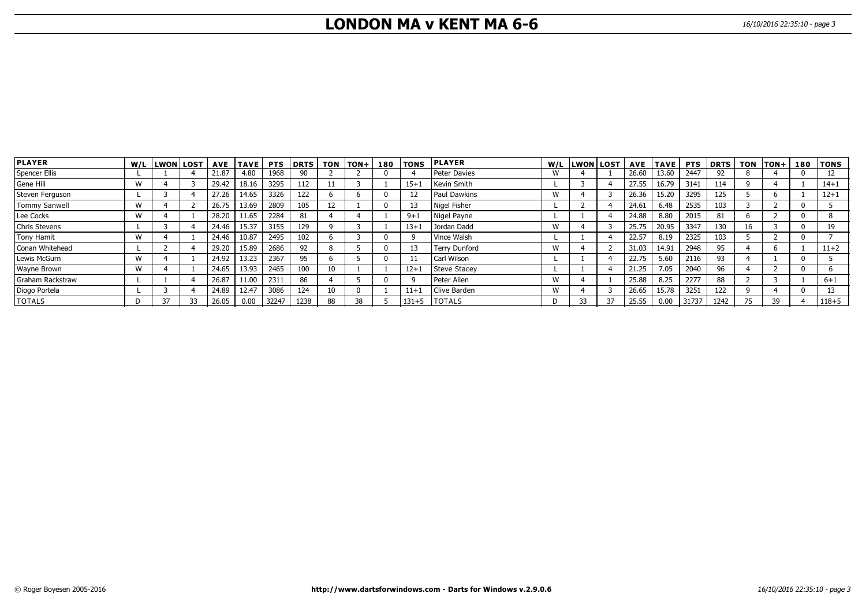# **LONDON MA v KENT MA 6-6** 16/10/2016 22:35:10 - page 3

| <b>PLAYER</b>    | W/L | <b>LWON LOST</b> |    |       | AVE   TAVE | <b>PTS</b> | <b>DRTS</b> |    | $TON   TON +  $ |    | <b>180   TONS</b> | <b>PLAYER</b>       | W/L | <b>LWON</b> | l LOST |       | AVE   TAVE |       | <b>PTS IDRTS I</b> | TON | $ TON+ 180 $ | <b>TONS</b> |
|------------------|-----|------------------|----|-------|------------|------------|-------------|----|-----------------|----|-------------------|---------------------|-----|-------------|--------|-------|------------|-------|--------------------|-----|--------------|-------------|
| Spencer Ellis    |     |                  |    | 21.87 | 4.80       | 1968       | 90          |    |                 |    |                   | Peter Davies        | W   |             |        | 26.60 | 13.60      | 2447  | 92                 |     |              |             |
| Gene Hill        | W   |                  |    | 29.42 | 18.16      | 3295       | 112         | 11 |                 |    | $15 + 1$          | Kevin Smith         |     |             |        | 27.55 | 16.79      | 3141  | 114                |     |              | $14 + 1$    |
| Steven Ferguson  |     |                  |    | 27.26 | 14.65      | 3326       | 122         |    |                 | 0  |                   | Paul Dawkins        | W   |             |        | 26.36 | 15.20      | 3295  | 125                |     |              | $12 + 1$    |
| Tommy Sanwell    | W   |                  |    | 26.75 | 13.69      | 2809       | 105         | 12 |                 | 0  |                   | Nigel Fisher        |     |             |        | 24.61 | 6.48       | 2535  | 103                |     |              |             |
| Lee Cocks        | w   |                  |    | 28.20 | 11.65      | 2284       |             |    |                 |    | $9 + 1$           | Nigel Payne         |     |             |        | 24.88 | 8.80       | 2015  | 81                 |     |              |             |
| Chris Stevens    |     |                  |    | 24.46 | 15.37      | 3155       | 129         |    |                 |    | $13 + 1$          | Jordan Dadd         | W   |             |        | 25.75 | 20.95      | 3347  | 130                | 16  |              | 19          |
| Tony Hamit       | W   |                  |    | 24.46 | 10.87      | 2495       | 102         |    |                 | -0 |                   | l Vince Walsh       |     |             |        | 22.57 | 8.19       | 2325  | 103                |     |              |             |
| Conan Whitehead  |     |                  |    | 29.20 | 15.89      | 2686       | 92          |    |                 | 0  |                   | Terry Dunford       | W   |             |        | 31.03 | 14.91      | 2948  | 95                 |     | h            | $11+2$      |
| Lewis McGurn     | W   |                  |    | 24.92 | 13.23      | 2367       | 95          |    |                 |    |                   | Carl Wilson         |     |             |        | 22.75 | 5.60       | 2116  | 93                 |     |              |             |
| Wayne Brown      | w   |                  |    | 24.65 | 13.93      | 2465       | 100         | 10 |                 |    | $12+1$            | <b>Steve Stacey</b> |     |             |        | 21.25 | 7.05       | 2040  | 96                 |     |              |             |
| Graham Rackstraw |     |                  |    | 26.87 | 11.00      | 2311       | 86          |    |                 | n  |                   | Peter Allen         | W   |             |        | 25.88 | 8.25       | 2277  | 88                 |     |              | $6 + 1$     |
| Diogo Portela    |     |                  |    | 24.89 | 12.47      | 3086       | 124         | 10 |                 |    | $11 + 1$          | Clive Barden        | W   |             |        | 26.65 | 15.78      | 3251  | 122                |     |              |             |
| <b>TOTALS</b>    |     |                  | 33 | 26.05 | 0.00       | 32247      | 1238        | 88 | 38              |    | $131 + 5$         | <b>TOTALS</b>       | D   | 33          | 37     | 25.55 | 0.00       | 31737 | 1242               |     | 39           | $118 + 5$   |

**KENT MA**

**LONDON MA**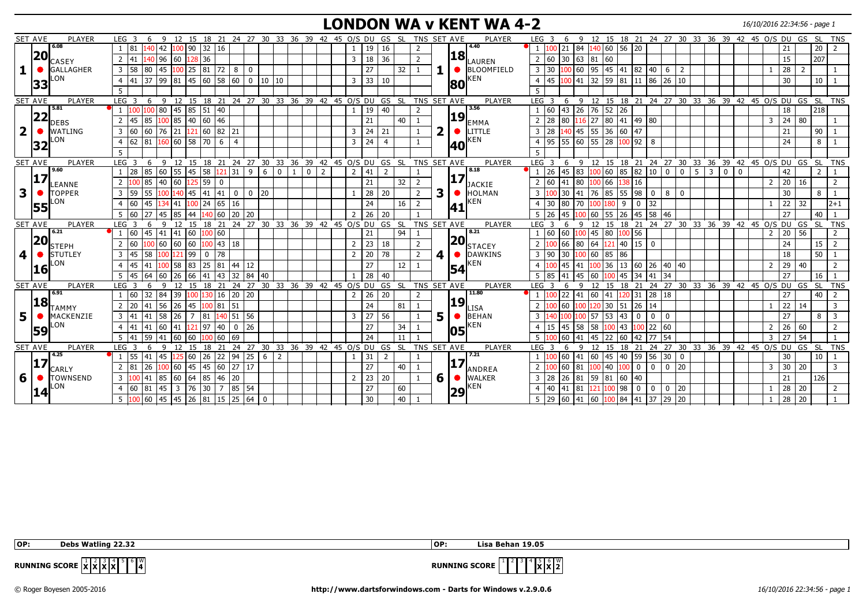### **LONDON WA v KENT WA 4-2** 16/10/2016 22:34:56 - page 1

| <b>SET AVE</b> | <b>PLAYER</b>    | LEG 3                               |              | 12 15                                              |          |                  |                |                 | 18 21 24 27 30 33 36 39 42 45 O/S DU          |             |   |                |                 | GS             | -SL  |                |                | TNS SET AVE    | <b>PLAYER</b>                   | LEG <sub>3</sub> |                 |                   |            |                 |                        |              |             |                |            |   |   | 12 15 18 21 24 27 30 33 36 39 42 45 O/S DU GS SL TNS |              |                |                  |               |
|----------------|------------------|-------------------------------------|--------------|----------------------------------------------------|----------|------------------|----------------|-----------------|-----------------------------------------------|-------------|---|----------------|-----------------|----------------|------|----------------|----------------|----------------|---------------------------------|------------------|-----------------|-------------------|------------|-----------------|------------------------|--------------|-------------|----------------|------------|---|---|------------------------------------------------------|--------------|----------------|------------------|---------------|
|                | 6.08             |                                     | 42           | l 90                                               | 32       | 16               |                |                 |                                               |             |   |                | 19              | 16             |      |                |                |                | 4.40                            |                  |                 | 84                |            | $\overline{60}$ | 56 20                  |              |             |                |            |   |   |                                                      |              |                | 20               |               |
| 20             | CASEY            | 2 41                                | 96           | 160                                                | 36       |                  |                |                 |                                               |             |   | 3              | 18              | 36             |      | $\overline{2}$ |                |                | $\left 18\right _\text{LAUREN}$ | $\overline{2}$   | 30<br>60        |                   | 63 81      | 60              |                        |              |             |                |            |   |   |                                                      | 15           |                | 207              |               |
|                | <b>GALLAGHER</b> | 3 58<br>80                          |              | 45 100 25 81                                       |          | 72   8           |                | $\overline{0}$  |                                               |             |   |                | 27              |                | 32   | -1             |                |                | <b>BLOOMFIELD</b>               | 3 <sup>1</sup>   | 30              | LOO   60          |            |                 | 95 45 41 82 40         |              | 6           | l 2            |            |   |   |                                                      | 28           | $\overline{2}$ |                  |               |
|                | ON.              | 4 4 1<br>37 <sup>2</sup>            |              | 9981456058600101010                                |          |                  |                |                 |                                               |             |   | $\overline{3}$ | 33              | $\frac{1}{10}$ |      |                |                | 80             | KEN                             | 4 <sup>1</sup>   | 45              | $100$ 41          |            |                 | $32$ 59 81 11 86 26 10 |              |             |                |            |   |   |                                                      | 30           |                | 10 <sup>1</sup>  |               |
| 33             |                  | -5                                  |              |                                                    |          |                  |                |                 |                                               |             |   |                |                 |                |      |                |                |                |                                 | 5                |                 |                   |            |                 |                        |              |             |                |            |   |   |                                                      |              |                |                  |               |
| <b>SET AVE</b> | <b>PLAYER</b>    | LEG <sub>3</sub>                    |              | 6 9 12 15 18 21 24 27 30 33 36 39 42 45 0/S DU GS  |          |                  |                |                 |                                               |             |   |                |                 |                | - SL |                |                | TNS SET AVE    | PLAYER                          | LEG <sub>3</sub> |                 | 6<br>$\mathsf{q}$ |            |                 |                        |              |             |                |            |   |   | 12 15 18 21 24 27 30 33 36 39 42 45 O/S DU GS SL TNS |              |                |                  |               |
|                | 5.81             | 100                                 | 100 80       | 45<br>85                                           |          | 51 40            |                |                 |                                               |             |   |                | 19              | $\vert$ 40     |      | $\overline{2}$ |                |                | 3.56                            |                  | 60 43 26        |                   |            | 76 52 26        |                        |              |             |                |            |   |   |                                                      | 18           |                | 218              |               |
| 22             | <b>DEBS</b>      | 45<br>85<br>$\overline{2}$          | 100          | 85                                                 | 40 60    | 46               |                |                 |                                               |             |   |                | 21              |                | 40   |                |                | 19             | ∥EMMA                           | $\overline{2}$   | 80<br>28        |                   | 116 27     |                 | 80 41 49 80            |              |             |                |            |   |   | 3                                                    | $24$ 80      |                |                  |               |
| 2              | WATLING          | $\overline{3}$<br>60<br>60          | 76           | $ 21\rangle$                                       | 121 60   | 82 21            |                |                 |                                               |             |   | 3              | 24              | l 21           |      | -1             | $\overline{2}$ |                | <b>ILITTLE</b>                  | $\overline{3}$   | 28              | 140   45          |            |                 | 55 36 60 47            |              |             |                |            |   |   |                                                      | 21           |                | 90               |               |
|                | ON               | 62<br>81<br>$\overline{4}$          |              | 160   60                                           | 58 70    | 6                | $\overline{4}$ |                 |                                               |             |   | 3              | 24              | $\overline{4}$ |      |                |                |                | KEN                             | $-4$             | 95<br>155       |                   |            |                 | $100$ 92 8             |              |             |                |            |   |   |                                                      | 24           |                | 8                |               |
| 32             |                  | -5                                  |              |                                                    |          |                  |                |                 |                                               |             |   |                |                 |                |      |                |                | 140            |                                 |                  |                 |                   |            |                 |                        |              |             |                |            |   |   |                                                      |              |                |                  |               |
| <b>SET AVE</b> | <b>PLAYER</b>    | LEG <sub>3</sub><br>6               |              | 9 12 15 18 21 24 27 30 33 36 39 42 45 O/S DU GS SL |          |                  |                |                 |                                               |             |   |                |                 |                |      |                |                | TNS SET AVE    | PLAYER                          | LEG <sub>3</sub> |                 | 6<br>q            |            |                 |                        |              |             |                |            |   |   | 12 15 18 21 24 27 30 33 36 39 42 45 O/S DU GS SL TNS |              |                |                  |               |
|                | 9.60             | 28<br>85<br>-1                      | 60           | 55<br>45                                           | 58       | $121$ 31         |                | l 9             | 6<br>$\mathbf 0$                              | $\mathbf 0$ | 2 | 2              | 41              | 2              |      |                |                |                | 8.18                            |                  | 45              | 83                |            | 60              | 82 <br>85              |              | $10 \mid 0$ | $\mathbf{0}$   | $5 \mid 3$ | 0 | 0 |                                                      | 42           |                | 2                |               |
| 17             | LEANNE           | 2<br>85                             | 40           | 160                                                | 59       | $\Omega$         |                |                 |                                               |             |   |                | 21              |                | 32   |                |                | 17             | <b>JACKIE</b>                   | $\overline{2}$   | 60<br>41        | 80                |            | 66              | 16                     |              |             |                |            |   |   |                                                      | 20           | 16             |                  |               |
|                | <b>TOPPER</b>    | 3 59<br>55                          |              | .40                                                | 45   41  | 41   0           |                | 0 20            |                                               |             |   |                | $28 \mid 20$    |                |      | $\overline{2}$ | 3              |                | <b>HOLMAN</b>                   | $\overline{3}$   | 30              | 41                | 76         | 85              | 98 <br>55              | $\mathbf 0$  | 8           | $\mathbf 0$    |            |   |   |                                                      | 30           |                | 8                |               |
|                | ON               | 160<br>$\overline{4}$<br>45         |              | 141                                                | 100 24   | $\sqrt{65}$   16 |                |                 |                                               |             |   |                | 24              |                | 16   | $\overline{2}$ |                | 41             | KEN                             | $\overline{4}$   | 80<br>30        |                   |            | 80              | 9<br>$\mathbf 0$       | 32           |             |                |            |   |   |                                                      | $22 \mid 32$ |                |                  | $ 2+1 $       |
| 55             |                  | 5 60<br>27                          | 45           | <b>85</b><br> 44                                   |          | 60   20<br>40    |                | 20              |                                               |             |   | $\overline{2}$ | $26 \mid 20$    |                |      |                |                |                |                                 | 5                | 26<br>45        |                   | 60         |                 | 55 26 45               |              | 58 46       |                |            |   |   |                                                      | 27           |                | 40 l             |               |
| SET AVE        | <b>PLAYER</b>    | LEG <sub>3</sub><br><b>6</b>        | Q            | 12                                                 |          |                  |                |                 | 15 18 21 24 27 30 33 36 39 42 45 0/S DU GS SL |             |   |                |                 |                |      |                |                | TNS SET AVE    | PLAYER                          | LEG <sub>3</sub> | 6               | q                 | 12         |                 |                        |              |             |                |            |   |   | 15 18 21 24 27 30 33 36 39 42 45 0/S DU GS           |              |                |                  | SL TNS        |
|                | 6.21             | $\sqrt{60}$<br>45<br>$\overline{1}$ | 41           | 41 60                                              |          | 00<br>$\vert$ 60 |                |                 |                                               |             |   |                | 21              |                | 94   |                |                |                | 8.21                            |                  | 60 60           | 1100              |            | 45 80           | $100$ 56               |              |             |                |            |   |   |                                                      | $20 \mid 56$ |                |                  |               |
| 20             | <b>STEPH</b>     | 2 60                                | 100 60       | 160<br>60                                          |          | 100   43   18    |                |                 |                                               |             |   | $\overline{2}$ | 23              | 18             |      | $\overline{2}$ |                | 20             | <b>I</b> STACEY                 | 2 <sup>1</sup>   | 66              | 80                |            |                 | 64 121 40 15           | <b>0</b>     |             |                |            |   |   |                                                      | 24           |                | $15 \mid 2$      |               |
| $\mathbf{4}$   | <b>STUTLEY</b>   | $3 \mid 45$<br>58                   |              | 99<br>121                                          | 0        | 78               |                |                 |                                               |             |   | $\overline{2}$ | 20              | 178            |      | 2              | 4              |                | <b>DAWKINS</b>                  | $\overline{3}$   | 30<br>90        | 100.              |            | 60 85           | 86                     |              |             |                |            |   |   |                                                      | 18           |                | 50               |               |
| 16             | .ON              | l 45<br>$\overline{4}$<br>41        |              | 83<br>l 58                                         | 25       | 181              | 44             | 12              |                                               |             |   |                | 27              |                | 12   |                |                | 54             | KEN                             | 4                | 45              | 41                |            | 100 36          | 13 60 26 40 40         |              |             |                |            |   |   |                                                      | 29           | 40             |                  |               |
|                |                  | 45<br>-5<br>64                      | 60           | 66 ا<br>l 26                                       | 41       | 43 32            |                | 84 40           |                                               |             |   |                | 28              | $\vert$ 40     |      |                |                |                |                                 | 5                |                 | 45                | 60         |                 | $\vert$ 34<br>45       | 41           | 34          |                |            |   |   |                                                      | 27           |                | 16               |               |
| SET AVE        | <b>PLAYER</b>    | $LEG \ 3$<br>6                      | $\mathsf{q}$ | 12<br>15                                           |          |                  |                |                 | 18 21 24 27 30 33 36 39 42 45 0/S DU          |             |   |                |                 | GS SL          |      |                |                | TNS SET AVE    | <b>PLAYER</b>                   | LEG <sub>3</sub> | 6               | $\mathsf{q}$      | 12         | 15              | 18 21                  |              |             |                |            |   |   | 24 27 30 33 36 39 42 45 O/S DU                       |              | GS             | SL TNS           |               |
|                | 6.91             | 160<br>32<br>-1                     | 84           | 39                                                 |          | 100 130 16 20 20 |                |                 |                                               |             |   | 2              | 26              | 20             |      | 2              |                |                | 11.80                           |                  | 22              | 41                |            | 60 41           | 120 31                 |              | 28 18       |                |            |   |   |                                                      | 27           |                | 40               |               |
| 18             | TAMMY            | 20<br>$\overline{2}$<br>41          | 56           | 26<br> 45                                          | 100      | 81 51            |                |                 |                                               |             |   |                | 24              |                | 81   |                |                | 19             | <b>L</b> ISA                    | 2                | 60              |                   | 120        | 30              | $ 26\rangle$<br>51     | 14           |             |                |            |   |   |                                                      | 22           | 14             |                  | 3             |
|                | MACKENZIE        | 3   41<br>41                        | 58           | 26                                                 | 81       |                  | 140   51       | 56              |                                               |             |   | 3              | 27              | 56             |      |                | 5.             |                | BEHAN                           | $\overline{3}$   |                 |                   | 57         | 53              | 43<br>$\mathbf 0$      | $\mathbf{0}$ | $\mathbf 0$ |                |            |   |   |                                                      | 27           |                | 8                | 3             |
| 59             | ΟN               | 4 4 1                               | 60           | 141                                                | 97       | 40 <sup>1</sup>  | $\overline{0}$ | $\overline{26}$ |                                               |             |   |                | $\overline{27}$ |                | 34   |                |                | 105            | KEN                             |                  | <b>45</b><br>15 | 58                | 58         | n۵              | 43<br>100              |              | 22 60       |                |            |   |   |                                                      | $26$ 60      |                |                  | $\mathcal{P}$ |
|                |                  | $5 \mid 41$<br>59                   | 41           | 160<br>160                                         |          | 60 69            |                |                 |                                               |             |   |                | 24              |                | 11   |                |                |                |                                 | 5                | 60              | 41                | 45         | 22              | <u>  42</u><br>60      | 77           | 54          |                |            |   |   | $\overline{3}$                                       | 27           | 54             |                  |               |
| <b>SET AVE</b> | PLAYER           | $LEG$ 3<br>6                        | $\mathbf{q}$ | 12                                                 | 18<br>15 |                  |                |                 | 21 24 27 30 33 36 39 42 45 0/S DU GS          |             |   |                |                 |                |      |                |                | SL TNS SET AVE | PLAYER                          | LEG <sub>3</sub> | 6               | -9                | 12         | 15              | 21<br>18               |              |             |                |            |   |   | 24  27  30  33  36  39  42  45  0/S  DU  GS  SL      |              |                |                  | TNS           |
|                | 4.25             | 155<br>41                           | 45           | 60                                                 | 26       | 22 94            |                | 25              | $6 \mid 2$                                    |             |   |                | 31              | $\overline{2}$ |      |                |                |                | 7.21                            |                  | 60              | 41                |            | 60 45           | 40 59 56 30            |              |             | $\mathbf{0}$   |            |   |   |                                                      | 30           |                | 10 <sup>10</sup> |               |
| $\vert 17$     | CARLY            | 81<br>2                             |              | 160                                                | 45 45    | 60 27            |                | 17              |                                               |             |   |                | 27              |                | 40   |                |                | 17             | ANDREA                          | $\overline{2}$   | 60              | 181               | LOO        | 40              | 100   0                | $\mathbf{0}$ | $\mathbf 0$ | $\frac{1}{20}$ |            |   |   | 3                                                    | $30 \mid 20$ |                |                  | 3             |
| 6 I            | <b>TOWNSEND</b>  | 3 100<br>41                         | 85           | 64<br>$ 60\rangle$                                 | 85       | 46 20            |                |                 |                                               |             |   | $\overline{2}$ | $23 \mid 20$    |                |      | -1             |                |                | 6   WALKER                      | 3 I              | 28 26 81        |                   |            |                 | 59 81 60 40            |              |             |                |            |   |   |                                                      | 21           |                | 126              |               |
|                | ON               | 4 60<br>81                          |              |                                                    |          |                  |                |                 |                                               |             |   |                | 27              |                | 60   |                |                |                | KEN                             | $\overline{4}$   | 41<br>40        | 181               | $121 \mid$ |                 | $.00$ 98<br>$\bf{0}$   | $\mathbf{0}$ | $\mathbf 0$ | $ 20\rangle$   |            |   |   |                                                      |              | $28$ 20        |                  |               |
| 14             |                  |                                     | 45           | $\overline{3}$                                     | 30<br>76 |                  | 7 85 54        |                 |                                               |             |   |                |                 |                |      |                |                | 29             |                                 |                  |                 |                   |            |                 |                        |              |             |                |            |   |   |                                                      |              |                |                  |               |

#### **OP: Debs Watling 22.32 OP: Lisa Behan 19.05**



**RUNNING SCORE x** x 2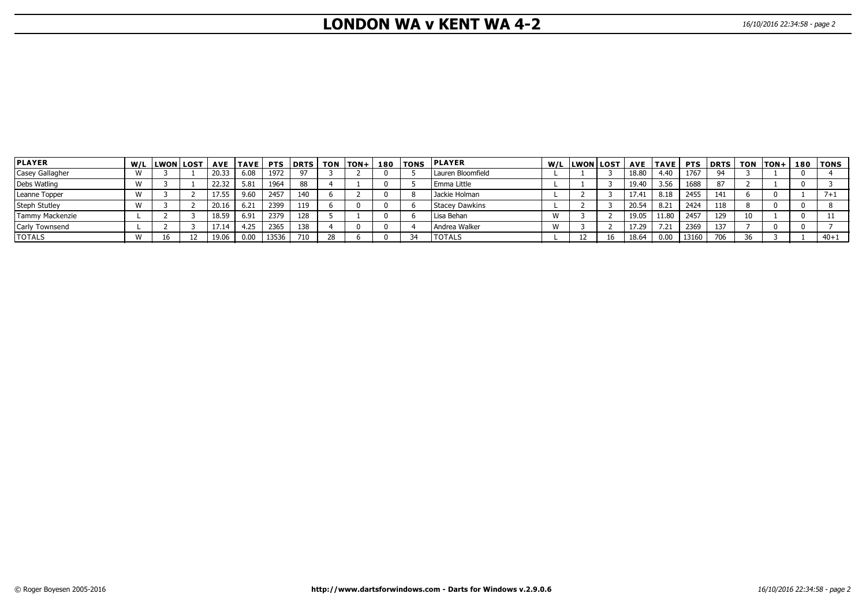# **LONDON WA v KENT WA 4-2** 16/10/2016 22:34:58 - page 2

| <b>PLAYER</b>   |              | W/L LWON LOST |       |      | AVE   TAVE   PTS   DRTS   TON |     |  | I  TON+  180  TONS | <b>IPLAYER</b>    | W/L  LWON LOST |    |       |       |       | AVE   TAVE   PTS   DRTS   TON   TON+ |    |  | 180   TONS |
|-----------------|--------------|---------------|-------|------|-------------------------------|-----|--|--------------------|-------------------|----------------|----|-------|-------|-------|--------------------------------------|----|--|------------|
| Casey Gallagher |              |               | 20.33 | 6.08 | 1972                          | 97  |  |                    | Lauren Bloomfield |                |    | 18.80 | 4.40  | 1767  | $\Omega$                             |    |  |            |
| Debs Watling    | $\mathbf{M}$ |               | 22.32 | 5.81 | 1964                          | 88  |  |                    | l Emma Little     |                |    | 19.40 | 3.56  | 1688  | 87                                   |    |  |            |
| Leanne Topper   | W            |               | 17.55 | 9.60 | 2457                          | 140 |  |                    | l Jackie Holman   |                |    | 17.41 | 8.18  | 2455  | 141                                  |    |  |            |
| Steph Stutley   | $\mathbf{M}$ |               | 20.16 | 6.21 | 2399                          | 119 |  |                    | Stacey Dawkins    |                |    | 20.54 | 8.21  | 2424  | 118                                  |    |  |            |
| Tammy Mackenzie |              |               | 18.59 | 6.91 | 2379                          | 128 |  |                    | l Lisa Behan      |                |    | 19.05 | 11.80 | 2457  | 129                                  | 10 |  |            |
| Carly Townsend  |              |               | 17.14 | 4.25 | 2365                          | 138 |  |                    | Andrea Walker     |                |    | 17.29 | 7.21  | 2369  | 137                                  |    |  |            |
| <b>TOTALS</b>   | $\mathbf{M}$ |               | 19.06 | 0.00 | 13536                         | 710 |  |                    | <b>TOTALS</b>     |                | 16 | 18.64 | 0.00  | 13160 | 706                                  |    |  | $40 + 1$   |

**KENT WAARD** 

**LONDON WA**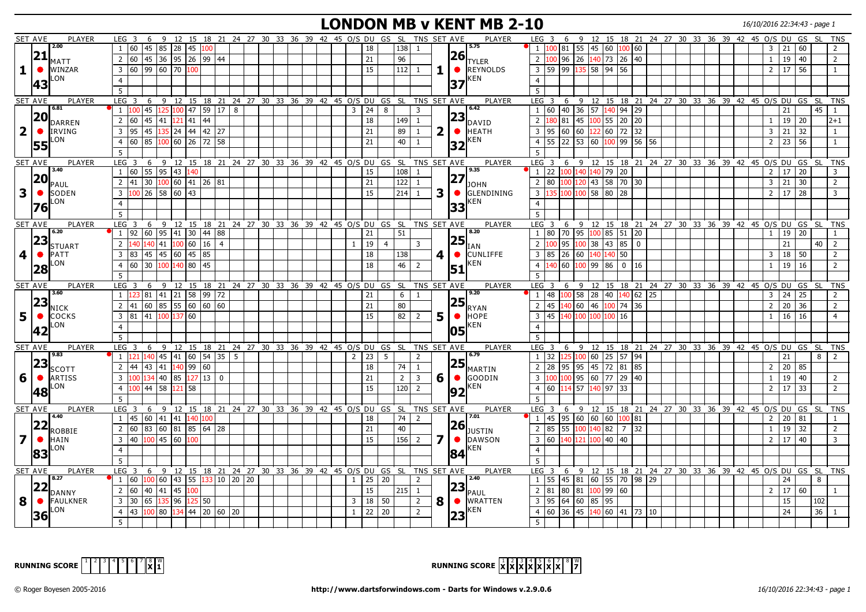#### **LONDON MB v KENT MB 2-10** 16/10/2016 22:34:43 - page 1

|                         | <b>SET AVE</b> | PLAYER                     | LEG <sub>3</sub>                                                    |                      |              |        |                             |  |  |  |                |                 | 6 9 12 15 18 21 24 27 30 33 36 39 42 45 0/S DU GS SL TNS SET AVE |                |                |           | <b>PLAYER</b>                                               | LEG <sub>3</sub>                                                     |    | 6 9 12 15 18 21 24 27 30 33 36 39 42 45 O/S DU GS SL TNS |                    |    |                                                          |  |  |                      |                       |                 |                |
|-------------------------|----------------|----------------------------|---------------------------------------------------------------------|----------------------|--------------|--------|-----------------------------|--|--|--|----------------|-----------------|------------------------------------------------------------------|----------------|----------------|-----------|-------------------------------------------------------------|----------------------------------------------------------------------|----|----------------------------------------------------------|--------------------|----|----------------------------------------------------------|--|--|----------------------|-----------------------|-----------------|----------------|
|                         |                | 2.00                       | 1 60                                                                | 45 85 28 45 100      |              |        |                             |  |  |  |                | 18              | 138                                                              |                |                |           | 5.75                                                        | $1 \vert 100 \vert 81 \vert 55 \vert 45 \vert 60 \vert 100 \vert 60$ |    |                                                          |                    |    |                                                          |  |  | 21<br>$\overline{3}$ | 60                    |                 |                |
|                         |                | $ 21 _{\text{MATT}}$       |                                                                     |                      |              |        |                             |  |  |  |                |                 |                                                                  |                |                |           | $ 26 $ <sub>TYLER</sub>                                     |                                                                      |    |                                                          |                    |    |                                                          |  |  |                      |                       |                 |                |
|                         |                |                            | 2 60                                                                |                      |              |        | 45 36 95 26 99 44           |  |  |  |                | 21              | 96                                                               |                |                |           |                                                             | 2 100 96 26 140 73 26 40                                             |    |                                                          |                    |    |                                                          |  |  | 1                    | 19 40                 |                 | 2              |
| $\mathbf{1}$            | $\bullet$      | WINZAR                     | 3 60 99 60 70 100                                                   |                      |              |        |                             |  |  |  |                | 15              | 112                                                              | -1             | 1              | $\bullet$ | REYNOLDS                                                    | $3$ 59 99 135 58 94 56                                               |    |                                                          |                    |    |                                                          |  |  | $2 \mid 17 \mid 56$  |                       |                 | $\overline{1}$ |
|                         |                | LON                        | $\overline{4}$                                                      |                      |              |        |                             |  |  |  |                |                 |                                                                  |                |                | 37        | KEN                                                         | $\overline{4}$                                                       |    |                                                          |                    |    |                                                          |  |  |                      |                       |                 |                |
|                         | 43             |                            | 5 <sup>5</sup>                                                      |                      |              |        |                             |  |  |  |                |                 |                                                                  |                |                |           |                                                             | 5 <sup>1</sup>                                                       |    |                                                          |                    |    |                                                          |  |  |                      |                       |                 |                |
|                         | <b>SET AVE</b> | PLAYER                     | LEG <sub>3</sub>                                                    |                      |              |        |                             |  |  |  |                |                 | 6 9 12 15 18 21 24 27 30 33 36 39 42 45 O/S DU GS SL TNS SET AVE |                |                |           | PLAYER                                                      | LEG 3 6 9 12 15 18 21 24 27 30 33 36 39 42 45 O/S DU GS SL TNS       |    |                                                          |                    |    |                                                          |  |  |                      |                       |                 |                |
|                         |                | 6.81                       | $1 \vert 100$                                                       |                      |              |        | 45 125 100 47 59 17 8       |  |  |  | 3              | 24              | 8                                                                | $\overline{3}$ |                |           | 6.42                                                        | 1 60                                                                 |    | 40   36   57   140   94   29                             |                    |    |                                                          |  |  | 21                   |                       | $45$   1        |                |
|                         | 20             |                            |                                                                     |                      |              |        |                             |  |  |  |                |                 |                                                                  |                |                | 23        |                                                             |                                                                      |    |                                                          |                    |    |                                                          |  |  |                      |                       |                 |                |
|                         |                | <b>DARREN</b>              | 2 60                                                                | 45                   | 41 121 41 44 |        |                             |  |  |  |                | 18              | 149                                                              | -1             |                |           | DAVID                                                       | 2 180                                                                | 81 | 45 100 55 20 20                                          |                    |    |                                                          |  |  | 19<br>1              | 20                    |                 | $ 2+1 $        |
| $\overline{\mathbf{2}}$ |                | <b>IRVING</b>              | 3 95                                                                | 45                   |              |        | 135 24 44 42 27             |  |  |  |                | 21              | 89                                                               | $\mathbf{1}$   | $\overline{2}$ |           | $\bullet$ <b>HEATH</b>                                      | $3 \mid 95$                                                          | 60 | $\sqrt{60}$                                              | 122   60   72   32 |    |                                                          |  |  | 3                    | $21 \overline{32}$    |                 | $\overline{1}$ |
|                         | 55             | .ON                        | 4 60                                                                |                      |              |        | 85 100 60 26 72 58          |  |  |  |                | 21              | 40                                                               | $\overline{1}$ |                | 32        | KEN                                                         | $4 \overline{55}$                                                    |    |                                                          |                    |    |                                                          |  |  | $2^{\circ}$          | $23 \overline{56}$    |                 | $\overline{1}$ |
|                         |                |                            | 5 <sup>1</sup>                                                      |                      |              |        |                             |  |  |  |                |                 |                                                                  |                |                |           |                                                             | $5^{\circ}$                                                          |    |                                                          |                    |    |                                                          |  |  |                      |                       |                 |                |
|                         | SET AVE        | PLAYER                     | LEG <sub>3</sub>                                                    |                      |              |        |                             |  |  |  |                |                 | 6 9 12 15 18 21 24 27 30 33 36 39 42 45 O/S DU GS SL TNS SET AVE |                |                |           | PLAYER                                                      | LEG <sub>3</sub>                                                     |    | 6 9 12 15 18 21 24 27 30 33 36 39 42 45 O/S DU GS SL TNS |                    |    |                                                          |  |  |                      |                       |                 |                |
|                         |                | 3.40                       | $1 \mid 60$                                                         | 55 95 43 140         |              |        |                             |  |  |  |                | 15              | 108                                                              | $\overline{1}$ |                |           | 9.35                                                        | $1 \overline{22}$                                                    |    | 100 140 140 79 20                                        |                    |    |                                                          |  |  | $2^{\circ}$          | 17 20                 |                 | 3              |
|                         | 20             |                            | 2 41                                                                |                      |              |        | 30 100 60 41 26 81          |  |  |  |                | 21              | 122                                                              |                |                | 27        |                                                             | $2 \overline{80}$                                                    |    | $100\,120\,$ 43 58 70 30                                 |                    |    |                                                          |  |  | $\overline{3}$<br>21 | 30                    |                 | $\overline{2}$ |
|                         |                | PAUL                       |                                                                     | $\sqrt{26}$ 58 60 43 |              |        |                             |  |  |  |                |                 |                                                                  |                |                |           | DOHN                                                        |                                                                      |    | $100$ $100$ 58 80 28                                     |                    |    |                                                          |  |  |                      |                       |                 |                |
| 3                       | $\bullet$      | SODEN<br>LON               | 3 100                                                               |                      |              |        |                             |  |  |  |                | 15              | 214                                                              | 1              | 3              |           | <b>I</b> GLENDINING<br>KEN                                  | 3 135                                                                |    |                                                          |                    |    |                                                          |  |  | 2 17                 | 28                    |                 | $\overline{3}$ |
|                         | 76             |                            | $\overline{4}$                                                      |                      |              |        |                             |  |  |  |                |                 |                                                                  |                |                | 33        |                                                             | $\overline{4}$                                                       |    |                                                          |                    |    |                                                          |  |  |                      |                       |                 |                |
|                         |                |                            | 5                                                                   |                      |              |        |                             |  |  |  |                |                 |                                                                  |                |                |           |                                                             |                                                                      |    |                                                          |                    |    |                                                          |  |  |                      |                       |                 |                |
|                         | <b>SET AVE</b> | <b>PLAYER</b>              | LEG <sub>3</sub>                                                    | 6 9                  |              |        |                             |  |  |  |                |                 | 12 15 18 21 24 27 30 33 36 39 42 45 O/S DU GS SL TNS SET AVE     |                |                |           | <b>PLAYER</b>                                               | LEG <sub>3</sub>                                                     | 6  | 9 12 15 18 21 24 27 30 33 36 39 42 45 O/S DU GS SL TNS   |                    |    |                                                          |  |  |                      |                       |                 |                |
|                         |                | 6.20                       | 192                                                                 |                      |              |        | 60   95   41   30   44   88 |  |  |  |                | 21              | 51                                                               |                |                |           | 8.20                                                        | 1 80                                                                 |    | 70  95  100  85  51  20                                  |                    |    |                                                          |  |  | l 19<br>$\mathbf{1}$ | 20                    |                 |                |
|                         | 23             | <b>STUART</b>              | 2 140                                                               | 140 41 100 60 16     |              |        | $\overline{4}$              |  |  |  | 1              | 19              | $\overline{4}$                                                   | $\overline{3}$ |                | 25        | IAN                                                         | $2 \vert 100 \vert 95$                                               |    | $100$ 38 43 85 0                                         |                    |    |                                                          |  |  | 21                   |                       | 40 <sup>1</sup> | $\overline{2}$ |
| 4                       | $\bullet$      | PATT                       | 3   83                                                              | 45 45 60 45 85       |              |        |                             |  |  |  |                | 18              | 138                                                              |                | 4              | $\bullet$ | <b>CUNLIFFE</b>                                             | 3 85                                                                 | 26 | 60   140   140   50                                      |                    |    |                                                          |  |  | $\overline{3}$       | $18$ 50               |                 | $\overline{2}$ |
|                         |                | .ON                        | 4 60                                                                | 30 100 140 80 45     |              |        |                             |  |  |  |                | 18              | 46                                                               | 2              |                |           | KEN                                                         | 4 140                                                                | 60 | $100$ 99 86 0 16                                         |                    |    |                                                          |  |  | 19<br>$\mathbf{1}$   | 16                    |                 | $\overline{2}$ |
|                         | 28             |                            | 5                                                                   |                      |              |        |                             |  |  |  |                |                 |                                                                  |                |                | 51        |                                                             |                                                                      |    |                                                          |                    |    |                                                          |  |  |                      |                       |                 |                |
|                         |                |                            |                                                                     |                      |              |        |                             |  |  |  |                |                 |                                                                  |                |                |           |                                                             | 5<br>LEG <sub>3</sub>                                                |    |                                                          |                    |    |                                                          |  |  |                      |                       |                 |                |
|                         |                |                            |                                                                     |                      |              |        |                             |  |  |  |                |                 |                                                                  |                |                |           |                                                             |                                                                      |    |                                                          |                    |    |                                                          |  |  |                      |                       |                 |                |
|                         | SET AVE        | PLAYER                     | LEG <sub>3</sub>                                                    |                      |              |        |                             |  |  |  |                |                 | 6 9 12 15 18 21 24 27 30 33 36 39 42 45 O/S DU GS SL TNS SET AVE |                |                |           | PLAYER                                                      |                                                                      |    |                                                          |                    |    | 6 9 12 15 18 21 24 27 30 33 36 39 42 45 O/S DU GS SL TNS |  |  |                      |                       |                 |                |
|                         |                | 3.60                       | $1 \vert 123$                                                       |                      |              |        | 81 41 21 58 99 72           |  |  |  |                | 21              | 6                                                                | $\overline{1}$ |                |           | 9.20                                                        | $1 \mid 48$                                                          |    | $100$ 58 28 40 140 62                                    |                    | 25 |                                                          |  |  | $\mathbf{3}$         | $24$ 25               |                 | 2              |
|                         | 23             | <b>NICK</b>                | 2 41                                                                |                      |              |        | $60$ 85 55 60 60 60         |  |  |  |                | 21              | 80                                                               |                |                |           |                                                             | $2 \mid 45$                                                          |    | $140\,60\,46\,100\,74\,36$                               |                    |    |                                                          |  |  | $\overline{2}$       | $\vert$ 20 $\vert$ 36 |                 | 2              |
| 5                       | $\bullet$      | <b>COCKS</b>               | 3 81 41 100 137 60                                                  |                      |              |        |                             |  |  |  |                | 15              | 82                                                               | 2              | 5              |           | $\left 25\right _{\rm RYAN}$<br>$\bullet$ HOPE              | $3 \mid 45 \mid$                                                     |    | 140 100 100 100 16                                       |                    |    |                                                          |  |  | $\mathbf{1}$         | 16   16               |                 | $\overline{4}$ |
|                         |                | LON                        | $\overline{4}$                                                      |                      |              |        |                             |  |  |  |                |                 |                                                                  |                |                |           | KEN                                                         | $\overline{4}$                                                       |    |                                                          |                    |    |                                                          |  |  |                      |                       |                 |                |
|                         | 42             |                            |                                                                     |                      |              |        |                             |  |  |  |                |                 |                                                                  |                |                | 105       |                                                             | 5                                                                    |    |                                                          |                    |    |                                                          |  |  |                      |                       |                 |                |
|                         |                |                            | 5                                                                   |                      |              |        |                             |  |  |  |                |                 |                                                                  |                |                |           |                                                             |                                                                      |    |                                                          |                    |    |                                                          |  |  |                      |                       |                 |                |
|                         | <b>SET AVE</b> | PLAYER<br>9.83             | LEG <sub>3</sub>                                                    |                      |              |        |                             |  |  |  |                |                 | 6 9 12 15 18 21 24 27 30 33 36 39 42 45 O/S DU GS SL TNS SET AVE |                |                |           | PLAYER<br>6.79                                              | LEG <sub>3</sub>                                                     | 6  | 9 12 15 18 21 24 27 30 33 36 39 42 45 O/S DU GS SL TNS   |                    |    |                                                          |  |  |                      |                       |                 |                |
|                         |                |                            | 1 121                                                               |                      |              |        | $140$ 45 41 60 54 35 5      |  |  |  | $\overline{2}$ | 23              | 5                                                                | $\overline{2}$ |                |           |                                                             | 1 32                                                                 |    | 125 100 60 25 57 94                                      |                    |    |                                                          |  |  | 21                   |                       | 8               | $\overline{2}$ |
|                         | 23             | SCOTT                      | 2   44                                                              | 43 41 140 99 60      |              |        |                             |  |  |  |                | 18              | 74                                                               | -1             |                | 25        | MARTIN                                                      | $2 \mid 28$                                                          |    | $95$ 95 45 72 81 85                                      |                    |    |                                                          |  |  | $\overline{2}$       | 20   85               |                 |                |
| 6                       | $\bullet$      | ARTISS                     | $3\overline{)100}134\overline{)40}85\overline{)127}13\overline{)0}$ |                      |              |        |                             |  |  |  |                | 21              | $\overline{2}$                                                   | $\overline{3}$ | 6              | $\bullet$ | GOODIN                                                      | $3 \mid 100 \mid 100 \mid 95 \mid 60 \mid 77 \mid 29 \mid 40$        |    |                                                          |                    |    |                                                          |  |  | 1                    | 19 40                 |                 | 2              |
|                         |                | .ON                        | 4 100                                                               | 44 58 121 58         |              |        |                             |  |  |  |                | 15              | 120                                                              | $\overline{2}$ |                |           | KEN                                                         | $4 \ 60 \ 114 \ 57 \ 140 \ 97 \ 33$                                  |    |                                                          |                    |    |                                                          |  |  | $2 \mid 17 \mid 33$  |                       |                 | $\overline{z}$ |
|                         | 48             |                            | $\overline{5}$                                                      |                      |              |        |                             |  |  |  |                |                 |                                                                  |                |                | 92        |                                                             | $5^{\circ}$                                                          |    |                                                          |                    |    |                                                          |  |  |                      |                       |                 |                |
|                         | <b>SET AVE</b> | PLAYER                     | $LEG$ 3                                                             |                      |              |        |                             |  |  |  |                |                 | 6 9 12 15 18 21 24 27 30 33 36 39 42 45 O/S DU GS SL TNS SET AVE |                |                |           | <b>PLAYER</b>                                               | $LEG$ 3                                                              |    | 6 9 12 15 18 21 24 27 30 33 36 39 42 45 O/S DU GS SL TNS |                    |    |                                                          |  |  |                      |                       |                 |                |
|                         |                | 4.40                       | 1   45                                                              | 60 41 41 140 100     |              |        |                             |  |  |  |                | 18              | 74                                                               | $\overline{2}$ |                |           | 7.01                                                        | 1  45   95   60   60   60   100   81                                 |    |                                                          |                    |    |                                                          |  |  | 2   20   81          |                       |                 |                |
|                         | 22             |                            | 2 60                                                                |                      |              |        | 83 60 81 85 64 28           |  |  |  |                | 21              | 40                                                               |                |                | 26        |                                                             | 2   85   55   100   140   82   7   32                                |    |                                                          |                    |    |                                                          |  |  | 1                    | $19$ 32               |                 | $\overline{2}$ |
|                         |                | ROBBIE                     |                                                                     |                      |              |        |                             |  |  |  |                |                 |                                                                  |                |                |           | bustin                                                      |                                                                      |    |                                                          |                    |    |                                                          |  |  |                      |                       |                 |                |
| $\overline{\mathbf{z}}$ |                | <b>HAIN</b><br>.ON         | $3 \mid 40$                                                         | 100 45 60 100        |              |        |                             |  |  |  |                | 15              |                                                                  | $156$ 2        | 7              | $\bullet$ | <b>IDAWSON</b><br>KEN                                       | 3 60 140 121 100 40 40                                               |    |                                                          |                    |    |                                                          |  |  | $2 \mid 17 \mid 40$  |                       |                 | $\overline{3}$ |
|                         | 83             |                            | $\overline{4}$                                                      |                      |              |        |                             |  |  |  |                |                 |                                                                  |                |                | 84        |                                                             | $\overline{4}$                                                       |    |                                                          |                    |    |                                                          |  |  |                      |                       |                 |                |
|                         |                |                            | 5                                                                   |                      |              |        |                             |  |  |  |                |                 |                                                                  |                |                |           |                                                             | 5 <sup>5</sup>                                                       |    |                                                          |                    |    |                                                          |  |  |                      |                       |                 |                |
|                         | <b>SET AVE</b> | PLAYER                     | LEG <sub>3</sub>                                                    |                      |              |        |                             |  |  |  |                |                 | 6 9 12 15 18 21 24 27 30 33 36 39 42 45 O/S DU GS SL TNS SET AVE |                |                |           | PLAYER                                                      | LEG <sub>3</sub>                                                     |    | 6 9 12 15 18 21 24 27 30 33 36 39 42 45 O/S DU GS SL TNS |                    |    |                                                          |  |  |                      |                       |                 |                |
|                         |                | 8.27                       | 1 60                                                                |                      |              |        | 100 60 43 55 133 10 20 20   |  |  |  | 1              | $\overline{25}$ | 20                                                               | 2              |                |           | 2.40                                                        | 1 55 45 81 60 55 70 98 29                                            |    |                                                          |                    |    |                                                          |  |  | 24                   |                       | 8               |                |
|                         |                |                            | 2 60                                                                | $40 \ 41 \ 45$       |              | 100    |                             |  |  |  |                | 15              | 215                                                              | 1              |                |           |                                                             | $2 \ 81 \ 80 \ 81 \ 100 \ 99 \ 60$                                   |    |                                                          |                    |    |                                                          |  |  | 2   17   60          |                       |                 |                |
| 8                       | $\bullet$      | $ 22 _{DANNY}$<br>FAULKNER | 3 30                                                                | 65 135 96            |              | 125 50 |                             |  |  |  | 3              | 18              | 50                                                               | $\overline{2}$ | 8              |           | $\left 23\right _\text{PAUL}$<br>$\bullet$ <b>I</b> WRATTEN | $3 \mid 95$                                                          |    | 64 60 85 95                                              |                    |    |                                                          |  |  | 15                   |                       | 102             |                |
|                         |                | .ON                        | $4 \mid 43$                                                         |                      |              |        |                             |  |  |  | $\mathbf{1}$   |                 | 20                                                               | 2              |                |           | KEN                                                         |                                                                      |    |                                                          |                    |    |                                                          |  |  | 24                   |                       | $36$   1        |                |
|                         | 36             |                            | 5                                                                   |                      |              |        | 100 80 134 44 20 60 20      |  |  |  |                | 22              |                                                                  |                |                | 23        |                                                             | 4 60 36 45 140 60 41 73 10<br>-5                                     |    |                                                          |                    |    |                                                          |  |  |                      |                       |                 |                |



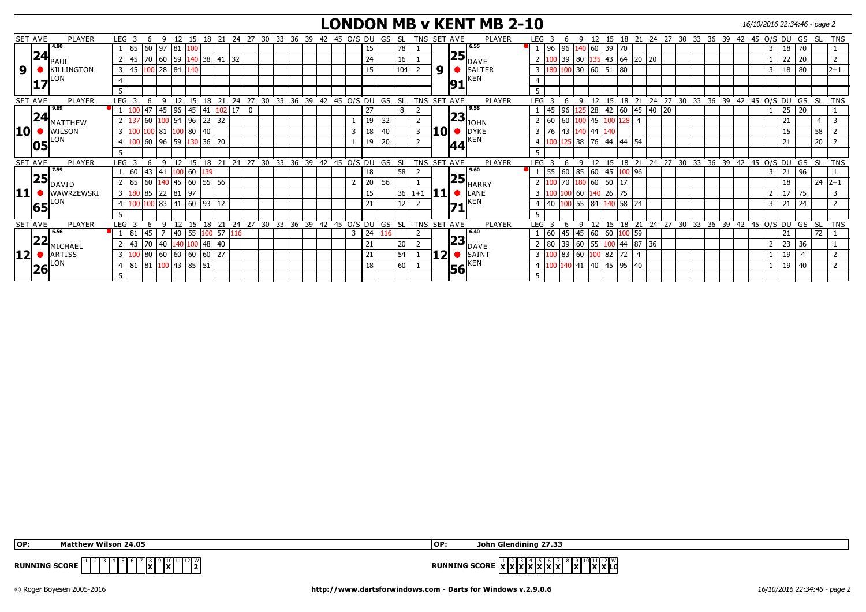#### **LONDON MB v KENT MB 2-10** 16/10/2016 22:34:46 - page 2

|          | SET AVE   | PLAYER                   | LEG            |              |              |    |                                      |       | 18           | 21                | 24 | 27                          | 30 33 | 36 | - 39 | 42 | 45 O/S DU                |    | GS             | - SL  |                | TNS SET AVE |                |           | <b>PLAYER</b>                   | LEG <sub>3</sub> |    |             |                              |              |             | 18     | - 21 | 24    | 27 | 30 | 33 36 39    |  | 42 45 O/S DU                            |    |    |                | GS SL TNS      |
|----------|-----------|--------------------------|----------------|--------------|--------------|----|--------------------------------------|-------|--------------|-------------------|----|-----------------------------|-------|----|------|----|--------------------------|----|----------------|-------|----------------|-------------|----------------|-----------|---------------------------------|------------------|----|-------------|------------------------------|--------------|-------------|--------|------|-------|----|----|-------------|--|-----------------------------------------|----|----|----------------|----------------|
|          |           | 4.80                     |                | 85           | 60           |    | 97 81                                |       |              |                   |    |                             |       |    |      |    |                          | 15 |                | 78    |                |             |                |           | 6.55                            |                  |    | 1   96   96 | 140 60                       |              | 39 70       |        |      |       |    |    |             |  | 3                                       | 18 | 70 |                |                |
|          | 24        | PAUL                     | $\overline{2}$ | 45 70        |              |    | 60 59                                |       |              | $140$ 38 41 32    |    |                             |       |    |      |    |                          | 24 |                | 16    |                |             |                |           | $\left 25\right _{\text{DAVE}}$ |                  |    | 39          | $ 80\rangle$                 |              | $135$ 43 64 |        | 20   | 20    |    |    |             |  |                                         | 22 | 20 |                |                |
| 9        |           | <b>KILLINGTON</b>        | 3 45           |              |              |    | $100$ 28 84 140                      |       |              |                   |    |                             |       |    |      |    |                          | 15 |                | 104   |                |             | 9 <sup>1</sup> |           | SALTER                          | 3                |    |             | $100$ 30 60 51 80            |              |             |        |      |       |    |    |             |  | 3                                       | 18 | 80 |                | $ 2+1 $        |
|          |           | LON                      |                |              |              |    |                                      |       |              |                   |    |                             |       |    |      |    |                          |    |                |       |                |             |                |           | KEN                             | $\overline{4}$   |    |             |                              |              |             |        |      |       |    |    |             |  |                                         |    |    |                |                |
|          |           |                          | 5              |              |              |    |                                      |       |              |                   |    |                             |       |    |      |    |                          |    |                |       |                |             |                | 91        |                                 | 5                |    |             |                              |              |             |        |      |       |    |    |             |  |                                         |    |    |                |                |
|          | SET AVE   | PLAYER                   | <b>LEG</b>     |              |              |    |                                      |       | 18           |                   | 24 | 27                          |       |    |      |    | 30 33 36 39 42 45 O/S DU |    | GS             | -SL   |                | TNS SET AVE |                |           | PLAYER                          | LEG              |    |             |                              | 12           |             | 18     | 21   | 24    | 27 |    |             |  | 30 33 36 39 42 45 O/S DU GS             |    |    |                | SL TNS         |
|          |           | 9.69                     |                |              |              | 45 | 96                                   | 45 41 |              |                   | 17 | $\Omega$                    |       |    |      |    |                          | 27 |                | 8     |                |             |                |           | 19.58                           |                  | 45 | 96          |                              | 28           | .1421       | 60     | 45   | 40 20 |    |    |             |  |                                         | 25 | 20 |                |                |
|          | 24        |                          |                |              | 60           |    | 54                                   |       | 96 22        | 32                |    |                             |       |    |      |    |                          | 19 | 32             |       |                |             |                |           | $\left 23\right _{\rm{LOHN}}$   |                  | 60 | 60          |                              | 45           | 100 128     |        | -4   |       |    |    |             |  |                                         | 21 |    | $\overline{4}$ |                |
| 10  ¢    |           | <b>MATTHEW</b><br>WILSON | 3 I            |              |              |    | 100 100 81 100 80 40                 |       |              |                   |    |                             |       |    |      |    | 3                        | 18 | $\vert$ 40     |       | 3              | 10          |                |           | <b>DYKE</b>                     | $\overline{3}$   |    |             | 76 43 44 44 40               |              |             |        |      |       |    |    |             |  |                                         | 15 |    | 58             |                |
|          |           | LON                      |                |              |              |    |                                      |       |              |                   |    |                             |       |    |      |    |                          |    |                |       |                |             |                |           | KEN                             |                  |    |             |                              |              |             |        |      |       |    |    |             |  |                                         |    |    |                |                |
|          | 105       |                          | $\overline{4}$ |              |              |    | .00 60 96 59 13036                   |       |              | 20                |    |                             |       |    |      |    |                          | 19 | 20             |       | $\overline{2}$ |             |                |           |                                 | $\overline{4}$   |    |             | 125   38   76   44   44   54 |              |             |        |      |       |    |    |             |  |                                         | 21 |    | 20             |                |
|          |           |                          | -5             |              |              |    |                                      |       |              |                   |    |                             |       |    |      |    |                          |    |                |       |                |             |                |           |                                 | 5                |    |             |                              |              |             |        |      |       |    |    |             |  |                                         |    |    |                |                |
|          | SET AVE   | PLAYER                   | <b>LEG</b>     |              |              |    |                                      |       | 18           | 21                | 24 | 27 30 33                    |       |    |      |    | 36 39 42 45 O/S DU       |    | GS             | -SL   |                | TNS SET AVE |                |           | PLAYER                          | LEG <sub>3</sub> |    |             |                              |              | 15          | - 18   | 21   | 24    | 27 |    | 30 33 36 39 |  | 42 45 O/S DU GS SL                      |    |    |                | <b>TNS</b>     |
|          |           | 7.59                     |                | $ 60\rangle$ | $ 43\rangle$ |    | 41 100 60 139                        |       |              |                   |    |                             |       |    |      |    |                          | 18 |                | 58    |                |             |                |           | 9.60                            |                  |    |             | 55 60 85 60 45               |              |             | 100 96 |      |       |    |    |             |  | 3                                       | 21 | 96 |                |                |
|          | <b>25</b> | DAVID                    | 2 85           |              | 60           |    |                                      |       |              | $140$ 45 60 55 56 |    |                             |       |    |      |    |                          | 20 | $\frac{1}{56}$ |       |                |             |                | 25        | <b>HARRY</b>                    |                  |    |             | 170 180 60 50 17             |              |             |        |      |       |    |    |             |  |                                         | 18 |    | $24 \mid 2+1$  |                |
|          |           | WAWRZEWSKI               | 3 <sup>1</sup> | .80 85       |              |    | 22 81 97                             |       |              |                   |    |                             |       |    |      |    |                          | 15 |                |       | $36 1+1$       |             |                |           | LANE                            |                  |    |             | LOO   60                     |              | 140 26 75   |        |      |       |    |    |             |  |                                         | 17 | 75 |                |                |
|          |           | LON                      | $\overline{4}$ |              |              |    | $.00 \, 100 \, 83 \, 41 \, 60 \, 93$ |       |              | 12                |    |                             |       |    |      |    |                          | 21 |                | 12    | $\overline{2}$ |             |                |           | KEN                             |                  |    |             | 4 40 100 55 84 140 58 24     |              |             |        |      |       |    |    |             |  | 3                                       | 21 | 24 |                | $\overline{2}$ |
|          | 65        |                          | -5             |              |              |    |                                      |       |              |                   |    |                             |       |    |      |    |                          |    |                |       |                |             |                |           |                                 | $5^{\circ}$      |    |             |                              |              |             |        |      |       |    |    |             |  |                                         |    |    |                |                |
|          | SET AVE   | PLAYER                   | <b>LEG</b>     |              |              |    |                                      |       | 18           | 21                | 24 | 27 30 33 36 39 42 45 O/S DU |       |    |      |    |                          |    |                | GS SL |                | TNS SET AVE |                |           | PLAYER                          | LEG <sub>3</sub> |    |             |                              | 12           |             |        |      |       |    |    |             |  | 15 18 21 24 27 30 33 36 39 42 45 0/S DU |    | GS |                | SL TNS         |
|          |           | 6.56                     |                | 81           | 45           |    | 140                                  |       |              | 55 100 57         |    |                             |       |    |      |    | 3                        | 24 |                |       |                |             |                |           | 6.40                            |                  | 60 | 45          | 45 60                        |              | 60          | 100 59 |      |       |    |    |             |  |                                         | 21 |    | 72             |                |
|          | 22        |                          | $\overline{2}$ | 43           | 70           | 40 |                                      |       | $140$ 100 48 | 40                |    |                             |       |    |      |    |                          | 21 |                | 20    |                |             |                | 23        |                                 |                  | 80 | 39          | $ 60\rangle$                 | 55           | 100   44    |        | 87   | 36    |    |    |             |  |                                         | 23 | 36 |                |                |
|          |           | MICHAEL<br><b>ARTISS</b> | $\overline{3}$ | 00 80        |              | 60 | 160                                  | 60    | 60           | 127               |    |                             |       |    |      |    |                          |    |                | 54    |                |             | L2l            |           | DAVE<br>SAINT                   |                  |    | 83          | l 60                         |              | 82          | 72     |      |       |    |    |             |  |                                         | 19 |    |                |                |
| $ 12 $ ' |           | LON                      |                |              |              |    |                                      |       |              |                   |    |                             |       |    |      |    |                          | 21 |                |       |                |             |                |           |                                 |                  |    |             |                              |              |             |        |      |       |    |    |             |  |                                         |    |    |                |                |
|          | 26        |                          | 4   81         |              | 81           |    | 100 43 85 51                         |       |              |                   |    |                             |       |    |      |    |                          | 18 |                | 60    |                |             |                | <b>56</b> |                                 | $\overline{4}$   |    |             | 140   41                     | $ 40\rangle$ | 45 95 40    |        |      |       |    |    |             |  |                                         | 19 | 40 |                |                |
|          |           |                          |                |              |              |    |                                      |       |              |                   |    |                             |       |    |      |    |                          |    |                |       |                |             |                |           |                                 |                  |    |             |                              |              |             |        |      |       |    |    |             |  |                                         |    |    |                |                |

| <b>Matthew Wilson 24.05</b><br>OP:       | Glandining 27 33<br> OP:<br>JUI          |
|------------------------------------------|------------------------------------------|
| <b>RUNNING SCORE</b><br><b>IV</b><br>ואו | <b>IVIV</b><br>INU SLUKE<br>$\mathbf{A}$ |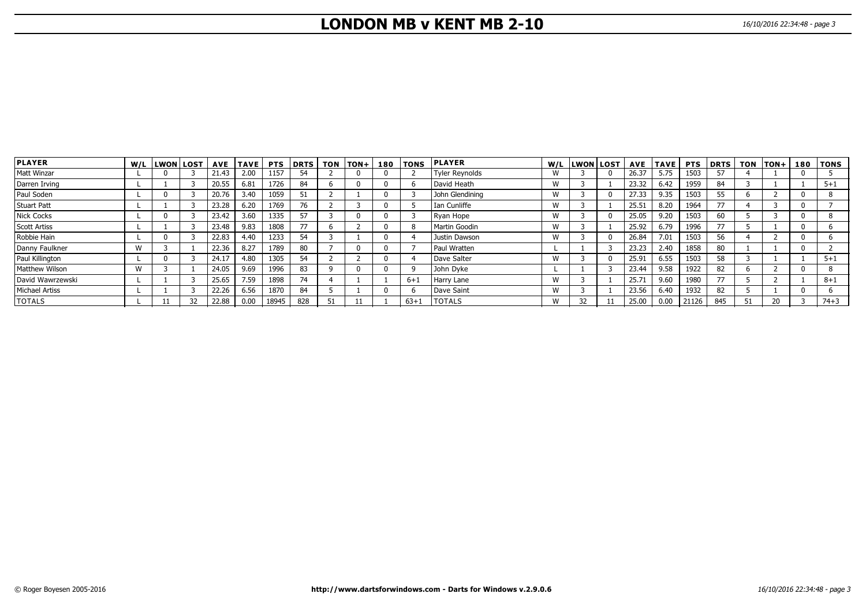# **LONDON MB v KENT MB 2-10** 16/10/2016 22:34:48 - page 3

**KENT MB**

| <b>PLAYER</b>         |   | W/L LWON LOST |       | <b>AVE TAVE</b> | <b>PTS</b> | <b>DRTS</b> | TON | $ TON+ $ | 180 | <b>TONS</b> | <b>PLAYER</b>         |   | W/L LWON LOST |    |       | AVE   TAVE | <b>PTS</b> |     | $ DRTS $ TON $ TON+ $ | 180   TONS |          |
|-----------------------|---|---------------|-------|-----------------|------------|-------------|-----|----------|-----|-------------|-----------------------|---|---------------|----|-------|------------|------------|-----|-----------------------|------------|----------|
| Matt Winzar           |   |               | 21.43 | 2.00            | 1157       | 54          |     |          |     |             | <b>Tyler Reynolds</b> | w |               |    | 26.37 | 5.75       | 1503       |     |                       |            |          |
| Darren Irving         |   |               | 20.55 | 6.81            | 1726       | 84          |     |          |     |             | David Heath           | W |               |    | 23.32 | 6.42       | 1959       | 84  |                       |            | $5 + 1$  |
| Paul Soden            |   | 0             | 20.76 | 3.40            | 1059       | 51          |     |          |     |             | John Glendining       | W |               |    | 27.33 | 9.35       | 1503       | 55  |                       |            |          |
| Stuart Patt           |   |               | 23.28 | 6.20            | 1769       | 76          |     |          |     |             | l Ian Cunliffe        | W |               |    | 25.51 | 8.20       | 1964       | 77  |                       |            |          |
| <b>Nick Cocks</b>     |   |               | 23.42 | 3.60            | 1335       | 57          |     |          |     |             | Ryan Hope             | W |               |    | 25.05 | 9.20       | 1503       | 60  |                       |            |          |
| <b>Scott Artiss</b>   |   |               | 23.48 | 9.83            | 1808       | 77          |     |          |     |             | Martin Goodin         | W |               |    | 25.92 | 6.79       | 1996       | 77  |                       |            |          |
| Robbie Hain           |   |               | 22.83 | 4.40            | 1233       | 54          |     |          |     |             | Justin Dawson         | W |               |    | 26.84 | 7.01       | 1503       | 56  |                       |            |          |
| Danny Faulkner        | w |               | 22.36 | 8.27            | 1789       | 80          |     |          |     |             | Paul Wratten          |   |               |    | 23.23 | 2.40       | 1858       | 80  |                       |            |          |
| Paul Killington       |   |               | 24.17 | 4.80            | 1305       | 54          |     |          |     |             | Dave Salter           | W |               |    | 25.91 | 6.55       | 1503       | 58  |                       |            | $5 + 1$  |
| Matthew Wilson        | w |               | 24.05 | 9.69            | 1996       | 83          |     |          |     |             | John Dyke             |   |               |    | 23.44 | 9.58       | 1922       | 82  |                       |            |          |
| David Wawrzewski      |   |               | 25.65 | 7.59            | 1898       | 74          |     |          |     | $6+1$       | Harry Lane            | W |               |    | 25.71 | 9.60       | 1980       | 77  |                       |            | $8 + 1$  |
| <b>Michael Artiss</b> |   |               | 22.26 | 6.56            | 1870       | 84          |     |          |     |             | Dave Saint            | W |               |    | 23.56 | 6.40       | 1932       | 82  |                       |            |          |
| <b>TOTALS</b>         |   |               | 22.88 | 0.00            | 18945      | 828         | 51  |          |     | $63 + 1$    | <b>I</b> TOTALS       |   | 32            | 11 | 25.00 | 0.00       | 21126      | 845 | 20                    |            | $74 + 3$ |

**LONDON MB**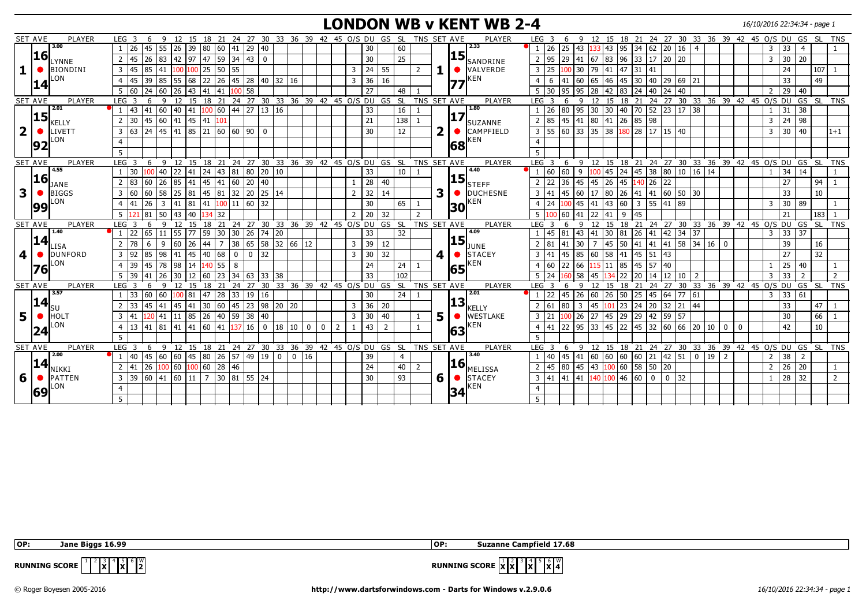### **LONDON WB v KENT WB 2-4** 16/10/2016 22:34:34 - page 1

| <b>SET AVE</b> | <b>PLAYER</b>          | LEG 3<br>6                    | 9                          | 12                                     |               | 15 18 21 24 27 30 33 36 39 42 45 0/S DU GS SL                    |             |                                                        |                             |    |                                                        |              |                |                          |            |                |       | TNS SET AVE    |    |              | PLAYER                      | LEG <sub>3</sub>                 | 6                                                                  | 9              |                |                        |                                                                         |              | 12 15 18 21 24 27 30 33 36 39 42 45 O/S DU GS SL                           |          |         |                             |                |                      |                  | <b>TNS</b>                                               |
|----------------|------------------------|-------------------------------|----------------------------|----------------------------------------|---------------|------------------------------------------------------------------|-------------|--------------------------------------------------------|-----------------------------|----|--------------------------------------------------------|--------------|----------------|--------------------------|------------|----------------|-------|----------------|----|--------------|-----------------------------|----------------------------------|--------------------------------------------------------------------|----------------|----------------|------------------------|-------------------------------------------------------------------------|--------------|----------------------------------------------------------------------------|----------|---------|-----------------------------|----------------|----------------------|------------------|----------------------------------------------------------|
|                | 3.00                   | 26<br>$\mathbf{1}$            | 45 55                      | l 26                                   | 39 80         |                                                                  |             |                                                        |                             |    |                                                        |              |                |                          | 30         |                | 60    |                |    |              | 2.33                        |                                  | $1 \overline{26}$ 25                                               | l 43 li        |                |                        | 133 43  95  34  62  20                                                  |              |                                                                            | $16$   4 |         |                             | 3              | 33<br>$\overline{4}$ |                  |                                                          |
| 16             |                        |                               |                            |                                        |               |                                                                  |             |                                                        |                             |    |                                                        |              |                |                          |            |                |       |                |    | 15           |                             |                                  |                                                                    |                |                |                        |                                                                         |              |                                                                            |          |         |                             |                |                      |                  |                                                          |
|                | <b>YNNE</b>            | 45<br>2 <sup>1</sup>          |                            |                                        |               | 26 83 42 97 47 59 34 43 0                                        |             |                                                        |                             |    |                                                        |              |                |                          | 30         |                | 25    |                |    |              | SANDRINE                    | $2 \mid 95$                      |                                                                    |                |                |                        |                                                                         |              | $\begin{bmatrix} 29 & 41 & 67 & 83 & 96 & 33 & 17 & 20 & 20 \end{bmatrix}$ |          |         |                             | $\overline{3}$ | $30 \mid 20$         |                  |                                                          |
|                | <b>BIONDINI</b>        | $3 \mid 45$<br>85 41          |                            |                                        |               | $100\,100\,25\,50\,55$                                           |             |                                                        |                             |    |                                                        |              |                | 3                        | 24         | 55             |       | 2              |    |              | <b>VALVERDE</b>             |                                  | 3 25 100 30 79 41 47 31 41                                         |                |                |                        |                                                                         |              |                                                                            |          |         |                             |                | 24                   | 107 <sup>1</sup> |                                                          |
|                | .ON                    | 45<br>39 85<br>4              |                            | 55 68 22                               |               |                                                                  |             | $\vert$ 26 $\vert$ 45 $\vert$ 28 $\vert$ 40 $\vert$ 32 |                             |    | 16                                                     |              |                | 3                        | 36         | 16             |       |                |    |              | KEN                         | $\overline{4}$                   | 6<br> 41                                                           | 60 65          |                |                        | $46 \mid 45 \mid 30$                                                    |              | 40 29 69 21                                                                |          |         |                             |                | 33                   | 49               |                                                          |
|                |                        | 60<br>5<br>24                 | 60                         | 26                                     | 43            | 41<br>41                                                         | ۱OO         | 58                                                     |                             |    |                                                        |              |                |                          | 27         |                | 48    |                |    |              |                             | 5 <sup>1</sup><br>30             | 95                                                                 | 95             | 28             | 83<br>42               | l 24                                                                    | 40           | 24<br>40                                                                   |          |         |                             |                | 29<br>40             |                  |                                                          |
| <b>SET AVE</b> | <b>PLAYER</b>          | $LEG$ 3<br>6                  |                            |                                        | 15            | 18<br>21                                                         | 24          |                                                        | $27 \overline{\smash{)}30}$ |    |                                                        |              |                | 33 36 39 42 45 0/S DU GS |            |                | SL SL | TNS SET AVE    |    |              | PLAYER                      | LEG<br>$\overline{\mathbf{3}}$   |                                                                    | $\mathsf{Q}$   | 12             | 15                     | 18<br>21                                                                | 24           | 27                                                                         |          |         | 30 33 36 39 42 45 O/S DU GS |                |                      | É SL             | <b>TNS</b>                                               |
|                | 2.01                   | 41 60<br>43                   |                            |                                        |               | 40  41  100  60  44  27  13  16                                  |             |                                                        |                             |    |                                                        |              |                |                          | 33         |                | 16    |                |    |              | 1.80                        | $1 \overline{26}$                | 80                                                                 | 95 30          |                |                        |                                                                         |              | 30 40 70 52 23 17 38                                                       |          |         |                             |                | $31 \mid 38$         |                  |                                                          |
| 15             | <b>KELLY</b>           | 30<br>45 60<br>2 <sup>1</sup> |                            | 41  45  41                             |               | 101                                                              |             |                                                        |                             |    |                                                        |              |                |                          | 21         |                | 138   |                |    | $ 17\rangle$ | SUZANNE                     | $2 \mid 85$                      | 45                                                                 | 41 80          |                |                        | 41 26 85                                                                | 98           |                                                                            |          |         |                             | 3              | $24$ 98              |                  |                                                          |
| 2              | LIVETT                 | 3 63                          | $24 \mid 45$               |                                        |               | 41   85   21   60   60                                           |             | 90                                                     | 0                           |    |                                                        |              |                |                          | 30         |                | 12    |                | כ  |              | CAMPFIELD                   | $3 \mid 55$                      | 60                                                                 | 33             | 35 38          |                        | $180$ 28                                                                |              | $17 \mid 15 \mid 40$                                                       |          |         |                             | 3              | 30   40              |                  | $ 1+1 $                                                  |
|                | ON                     |                               |                            |                                        |               |                                                                  |             |                                                        |                             |    |                                                        |              |                |                          |            |                |       |                |    |              | KEN                         | $\overline{4}$                   |                                                                    |                |                |                        |                                                                         |              |                                                                            |          |         |                             |                |                      |                  |                                                          |
| 192            |                        | $\overline{4}$                |                            |                                        |               |                                                                  |             |                                                        |                             |    |                                                        |              |                |                          |            |                |       |                |    | 68           |                             |                                  |                                                                    |                |                |                        |                                                                         |              |                                                                            |          |         |                             |                |                      |                  |                                                          |
|                |                        | 5                             |                            |                                        |               |                                                                  |             |                                                        |                             |    |                                                        |              |                |                          |            |                |       |                |    |              |                             | 5                                |                                                                    |                |                |                        |                                                                         |              |                                                                            |          |         |                             |                |                      |                  |                                                          |
| <b>SET AVE</b> | PLAYER<br>4.55         | $LEG$ 3<br>-6                 |                            |                                        |               | 9 12 15 18 21 24 27 30 33 36 39 42 45 O/S DU GS SL TNS SET AVE   |             |                                                        |                             |    |                                                        |              |                |                          |            |                |       |                |    |              | PLAYER<br>4.40              | $LEG$ 3                          | 6                                                                  | 9۰             |                |                        |                                                                         |              | 12 15 18 21 24 27 30 33 36 39 42 45 0/S DU GS SL                           |          |         |                             |                |                      |                  | <b>TNS</b>                                               |
| 16             |                        | 30<br>100 40<br>$\mathbf{1}$  |                            | 22                                     | 41 24         |                                                                  | 43 81       |                                                        | 80 20 10                    |    |                                                        |              |                |                          | 33         |                | 10    |                |    | <b>15</b>    |                             | 1 60                             | 60                                                                 | 9              | 100            |                        | 45 24 45                                                                |              | 38 80 10 16 14                                                             |          |         |                             |                | $34$ 14              |                  |                                                          |
|                | JANE                   | 83<br>2 <sup>1</sup><br>60    | 26                         | 85                                     | 41 45         |                                                                  | 41 60       | 20                                                     | 40                          |    |                                                        |              |                |                          | 28         | 40             |       |                |    |              | <b>I</b> STEFF              | $\overline{2}$<br>22             | 36                                                                 | 45             | 45             | 26<br>45               | 140                                                                     | 26 22        |                                                                            |          |         |                             |                | 27                   | 94               |                                                          |
|                | <b>BIGGS</b>           | 3 60<br>60                    | 58                         | l 25                                   | 81 45         |                                                                  |             | 81 32 20 25 14                                         |                             |    |                                                        |              |                | $\overline{2}$           | 32         | 14             |       |                | 3  |              | DUCHESNE                    | 3 <sup>1</sup><br>41             | 45                                                                 | 60             | 17             |                        | 80 26 41                                                                |              | $41 \mid 60 \mid 50 \mid 30$                                               |          |         |                             |                | 33                   | 10 <sup>°</sup>  |                                                          |
| 99             | ON.                    | 4 4 1<br>26                   | 3                          | 41  81  41                             |               |                                                                  | $100$  11   | 60 32                                                  |                             |    |                                                        |              |                |                          | 30         |                | 65    |                |    | 30           | IKEN                        | $\overline{4}$<br>24             | 100                                                                | 45             | 41             |                        | 43   60   3                                                             |              | 55 41 89                                                                   |          |         |                             | 3              | 30 89                |                  |                                                          |
|                |                        | 81 50<br>$5 \mid 121$         |                            | 43                                     | 140           | $\begin{array}{c} \n 32\n \end{array}$<br>134                    |             |                                                        |                             |    |                                                        |              |                |                          | 20         | 32             |       | $\overline{2}$ |    |              |                             | 5 <sub>1</sub>                   | $\overline{60}$                                                    | 41             | 22             | 9<br>41                | 45                                                                      |              |                                                                            |          |         |                             |                | 21                   |                  | $183$   $1$                                              |
| SET AVE        | <b>PLAYER</b>          | LEG <sub>3</sub><br>-6        | Q                          | 12                                     | 15            | 18 21 24 27 30 33 36 39 42 45 0/S DU GS SL                       |             |                                                        |                             |    |                                                        |              |                |                          |            |                |       | TNS SET AVE    |    |              | PLAYER                      | LEG <sub>3</sub>                 | 6                                                                  | $\mathsf q$    | 12             | 15                     |                                                                         |              | 18 21 24 27 30 33 36 39 42 45 0/S DU GS                                    |          |         |                             |                |                      |                  | SL TNS                                                   |
|                | 1.40                   | 22<br>65                      | 11                         | 55                                     | 77 59         |                                                                  | 30 30       | 26                                                     | 74 20                       |    |                                                        |              |                |                          | 33         |                | 32    |                |    |              | 4.09                        | $1 \mid 45$                      | 81                                                                 | 43             | 41             | 30 81                  | $ 26\rangle$                                                            | $41 \mid 42$ | 34                                                                         | 37       |         |                             | $\overline{3}$ | 33 37                |                  |                                                          |
| 14             | <b>ISA</b>             | 78<br>2 I<br>6                | 9                          | 60 26 44                               |               |                                                                  |             | $7$ 38 65 58 32 66 12                                  |                             |    |                                                        |              |                | $\overline{3}$           | 39         | 12             |       |                |    | 15           | DUNE                        | $2 \mid 81$                      | 41                                                                 | 30             | $\overline{7}$ |                        |                                                                         |              | 45 50 41 41 41 58 34 16 0                                                  |          |         |                             |                | 39                   | 16               |                                                          |
| 4 I            | <b>DUNFORD</b>         | 3 92<br>85 98                 |                            | 41 45 40                               |               | 68                                                               | $\mathbf 0$ | $0 \mid 32$                                            |                             |    |                                                        |              |                | 3                        | $\vert$ 30 | 32             |       |                | 4  |              | STACEY                      | $3 \mid 41$                      | 45                                                                 | 85 60          |                |                        | $58 \mid 41 \mid 45$                                                    | $51 \mid 43$ |                                                                            |          |         |                             |                | 27                   | 32               |                                                          |
|                | ON                     | 39<br>45<br>4                 | 78                         | 98                                     |               | 14 140 55                                                        | 8           |                                                        |                             |    |                                                        |              |                |                          | 24         |                | 24    |                |    |              | KEN                         | 4 60                             | 122                                                                | 66             | 115            | 11 85                  | 45                                                                      | $57 \mid 40$ |                                                                            |          |         |                             |                | 25<br>40             |                  |                                                          |
| 176            |                        | 39                            | 26                         | 30                                     | 12 60         | 23                                                               | 34          | 63                                                     | 33 38                       |    |                                                        |              |                |                          | 33         |                | 102   |                |    | 65           |                             | 5<br>24                          | 60                                                                 | 58             | 45             | 22                     | 120                                                                     | 14 12        |                                                                            | 10       |         |                             | 3              | 33<br>$\overline{2}$ |                  |                                                          |
| <b>SET AVE</b> | PLAYER                 | -5<br>$LEG \ 3$               | -9                         | 12                                     | <sup>15</sup> | 18 21                                                            |             | 24 27 30 33 36 39 42 45 0/S DU GS SL                   |                             |    |                                                        |              |                |                          |            |                |       | TNS SET AVE    |    |              | PLAYER                      | LEG <sub>3</sub>                 | $\epsilon$                                                         | 9              | 12             | 18<br>15               | 21                                                                      |              | 24 27 30 33 36 39 42 45 O/S DU GS                                          | 2        |         |                             |                |                      | SL SL            | 2<br>TNS                                                 |
|                | 3.57                   | 6<br>33<br>60 60              |                            | 100 81 47                              |               | 28                                                               |             | 33   19   16                                           |                             |    |                                                        |              |                |                          | 30         |                | 24    |                |    |              | 2.01                        | 22                               | 45                                                                 | 26             | $\sqrt{60}$    |                        | $26 \mid 50 \mid 25$                                                    | 45 64        |                                                                            | 77 61    |         |                             | $\overline{3}$ | 33   61              |                  |                                                          |
| 14             |                        |                               |                            |                                        |               |                                                                  |             |                                                        |                             |    |                                                        |              |                |                          |            |                |       |                |    | 13           |                             |                                  |                                                                    |                |                |                        |                                                                         |              |                                                                            |          |         |                             |                |                      |                  |                                                          |
|                |                        | 33<br>45<br>$\overline{2}$    | 41                         | 45                                     | 41 30         |                                                                  | 60 45       |                                                        | 23 98 20                    | 20 |                                                        |              |                | 3                        | 36         | 20             |       |                |    |              | <b>I</b> KELLY              | $\overline{2}$<br>61             | 80                                                                 | $\overline{3}$ | 45             | $\overline{23}$<br>101 | 124                                                                     |              | 20 32 21                                                                   | 44       |         |                             |                | 33                   | 47               |                                                          |
| 5              | <b>HOLT</b>            | 3 4 1                         | 120 41                     |                                        |               | 11  85  26  40  59  38  40                                       |             |                                                        |                             |    |                                                        |              |                | 3                        | 30         | 40             |       | 1              | 5. |              | <b>WESTLAKE</b>             | $3 \mid 21$                      | 100                                                                | l 26           | 27             |                        |                                                                         |              | 45   29   29   42   59   57                                                |          |         |                             |                | 30 <sup>°</sup>      |                  | $66$   1                                                 |
| 24             | ON.                    | 41 81<br>13<br>4              |                            |                                        |               | $\boxed{41}$ $\boxed{41}$ 60 $\boxed{41}$ 137                    |             | 16 <sup>1</sup>                                        | $0 \mid 18$                 |    | 10 <sup>1</sup><br>$\mathbf 0$                         | $\mathbf{0}$ | $\overline{2}$ |                          | 43         | $\overline{2}$ |       |                |    | 63           | KEN                         | 41<br>$\overline{4}$             | 22                                                                 | $\frac{1}{95}$ |                |                        |                                                                         |              | 33 45 22 45 32 60 66 20 10                                                 |          | $0$ $0$ |                             |                | 42                   | 10               |                                                          |
|                |                        | 5                             |                            |                                        |               |                                                                  |             |                                                        |                             |    |                                                        |              |                |                          |            |                |       |                |    |              |                             | $5^{\circ}$                      |                                                                    |                |                |                        |                                                                         |              |                                                                            |          |         |                             |                |                      |                  |                                                          |
|                | <b>PLAYER</b>          | LEG <sub>3</sub>              |                            |                                        |               | 6 9 12 15 18 21 24 27 30 33 36 39 42 45 O/S DU GS SL TNS SET AVE |             |                                                        |                             |    |                                                        |              |                |                          |            |                |       |                |    |              | PLAYER                      | LEG <sub>3</sub>                 |                                                                    |                |                |                        |                                                                         |              |                                                                            |          |         |                             |                |                      |                  | 6 9 12 15 18 21 24 27 30 33 36 39 42 45 O/S DU GS SL TNS |
| <b>SET AVE</b> |                        |                               |                            |                                        |               |                                                                  |             |                                                        |                             |    | $\begin{array}{ c c c c c } \hline 0 & 16 \end{array}$ |              |                |                          | 39         |                | 4     |                |    |              | 3.40                        |                                  | 45                                                                 |                |                |                        |                                                                         |              | 41  60  60  60  60  21  42  51   0  19   2                                 |          |         |                             | $\overline{z}$ | 38<br>$\overline{2}$ |                  |                                                          |
|                | 2.00                   | 40                            |                            | 45  60  60  45  80  26  57  49  19   0 |               |                                                                  |             |                                                        |                             |    |                                                        |              |                |                          |            |                |       |                |    |              |                             |                                  |                                                                    |                |                |                        |                                                                         |              |                                                                            |          |         |                             |                |                      |                  |                                                          |
| 14             |                        | 2 <sup>1</sup><br>41          | $26 \left  100 \right  60$ |                                        | $100\,60$     |                                                                  | 28 46       |                                                        |                             |    |                                                        |              |                |                          | 24         |                | 40 l  | $\overline{2}$ |    | <b>16</b>    |                             |                                  | $2 \mid 45 \mid 80$                                                |                |                |                        | $\boxed{45}$ $\boxed{43}$ $\boxed{100}$ 60 $\boxed{58}$ 50 $\boxed{20}$ |              |                                                                            |          |         |                             | 2              | $26 \mid 20$         |                  |                                                          |
|                | NIKKI<br><b>PATTEN</b> | 3 3 3 3                       |                            |                                        |               |                                                                  |             |                                                        |                             |    |                                                        |              |                |                          | 30         |                | 93    |                |    |              | MELISSA<br>$\bullet$ STACEY |                                  |                                                                    |                |                |                        |                                                                         |              | $0$ $\vert 0$ $\vert 32$                                                   |          |         |                             |                | $28 \mid 32$         |                  | 2                                                        |
| 6              | ON                     |                               |                            |                                        |               |                                                                  |             |                                                        |                             |    |                                                        |              |                |                          |            |                |       |                | 6  |              | KEN                         |                                  | $3 \mid 41 \mid 41 \mid 41 \mid 140 \mid 100 \mid 46 \mid 60 \mid$ |                |                |                        |                                                                         |              |                                                                            |          |         |                             |                |                      |                  |                                                          |
| 69             |                        | 5                             |                            |                                        |               |                                                                  |             |                                                        |                             |    |                                                        |              |                |                          |            |                |       |                |    | 134          |                             | $\overline{4}$<br>5 <sup>5</sup> |                                                                    |                |                |                        |                                                                         |              |                                                                            |          |         |                             |                |                      |                  |                                                          |

 $\mathbf{x}$ <sup>4</sup> $\mathbf{x}$ <sup>5</sup> $\mathbf{x}$ <sup>6</sup> $\mathbf{x}$ 

**RUNNING SCORE**  $\begin{bmatrix} 1 & 2 & 3 \ 1 & \mathbf{X} \end{bmatrix}$ 

 **OP: Jane Biggs 16.99 OP: Suzanne Campfield 17.68**